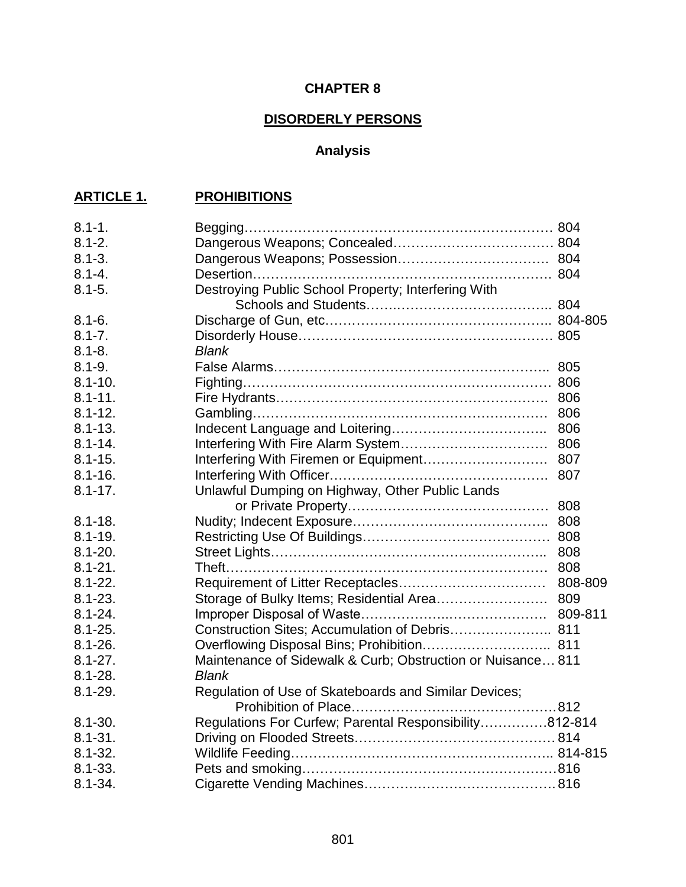### **CHAPTER 8**

## **DISORDERLY PERSONS**

# **Analysis**

## **ARTICLE 1. PROHIBITIONS**

| $8.1 - 1.$  |                                                             |         |
|-------------|-------------------------------------------------------------|---------|
| $8.1 - 2.$  |                                                             |         |
| $8.1 - 3.$  |                                                             |         |
| $8.1 - 4.$  |                                                             |         |
| $8.1 - 5.$  | Destroying Public School Property; Interfering With         |         |
|             |                                                             |         |
| $8.1 - 6.$  |                                                             |         |
| $8.1 - 7.$  |                                                             |         |
| $8.1 - 8.$  | <b>Blank</b>                                                |         |
| $8.1 - 9.$  |                                                             |         |
| $8.1 - 10.$ |                                                             |         |
| $8.1 - 11.$ |                                                             |         |
| $8.1 - 12.$ |                                                             |         |
| $8.1 - 13.$ |                                                             | 806     |
| $8.1 - 14.$ |                                                             |         |
| $8.1 - 15.$ |                                                             |         |
| $8.1 - 16.$ |                                                             |         |
| $8.1 - 17.$ | Unlawful Dumping on Highway, Other Public Lands             |         |
|             |                                                             |         |
| $8.1 - 18.$ |                                                             |         |
| $8.1 - 19.$ |                                                             |         |
| $8.1 - 20.$ |                                                             |         |
| $8.1 - 21.$ |                                                             |         |
| $8.1 - 22.$ |                                                             | 808-809 |
| $8.1 - 23.$ | Storage of Bulky Items; Residential Area 809                |         |
| $8.1 - 24.$ |                                                             |         |
| $8.1 - 25.$ | Construction Sites; Accumulation of Debris 811              |         |
| $8.1 - 26.$ |                                                             |         |
| $8.1 - 27.$ | Maintenance of Sidewalk & Curb; Obstruction or Nuisance 811 |         |
| $8.1 - 28.$ | <b>Blank</b>                                                |         |
| $8.1 - 29.$ | Regulation of Use of Skateboards and Similar Devices;       |         |
|             |                                                             |         |
| $8.1 - 30.$ | Regulations For Curfew; Parental Responsibility812-814      |         |
| $8.1 - 31.$ |                                                             |         |
| $8.1 - 32.$ |                                                             |         |
| $8.1 - 33.$ |                                                             |         |
| $8.1 - 34.$ |                                                             |         |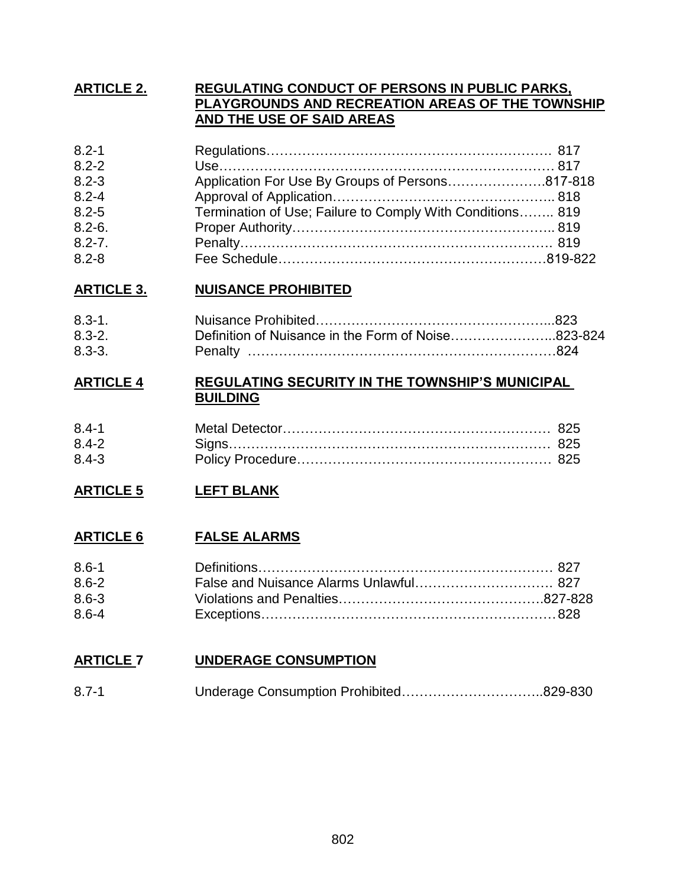### **ARTICLE 2. REGULATING CONDUCT OF PERSONS IN PUBLIC PARKS, PLAYGROUNDS AND RECREATION AREAS OF THE TOWNSHIP AND THE USE OF SAID AREAS**

| $8.2 - 1$  |                                                           |  |
|------------|-----------------------------------------------------------|--|
| $8.2 - 2$  |                                                           |  |
| $8.2 - 3$  | Application For Use By Groups of Persons817-818           |  |
| $8.2 - 4$  |                                                           |  |
| $8.2 - 5$  | Termination of Use; Failure to Comply With Conditions 819 |  |
| $8.2 - 6.$ |                                                           |  |
| $8.2 - 7.$ |                                                           |  |
| $8.2 - 8$  |                                                           |  |

## **ARTICLE 3. NUISANCE PROHIBITED**

| $8.3 - 1$  |                                                    |  |
|------------|----------------------------------------------------|--|
| $8.3 - 2.$ | Definition of Nuisance in the Form of Noise823-824 |  |
| $8.3 - 3.$ |                                                    |  |

### **ARTICLE 4 REGULATING SECURITY IN THE TOWNSHIP'S MUNICIPAL BUILDING**

| $8.4 - 1$ |  |
|-----------|--|
| $8.4 - 2$ |  |
| $8.4 - 3$ |  |

### **ARTICLE 5 LEFT BLANK**

### **ARTICLE 6 FALSE ALARMS**

| $8.6 - 1$ |  |
|-----------|--|
| $8.6 - 2$ |  |
| $8.6 - 3$ |  |
| $8.6 - 4$ |  |

### **ARTICLE 7 UNDERAGE CONSUMPTION**

| $8.7 - 1$ |  |  |
|-----------|--|--|
|-----------|--|--|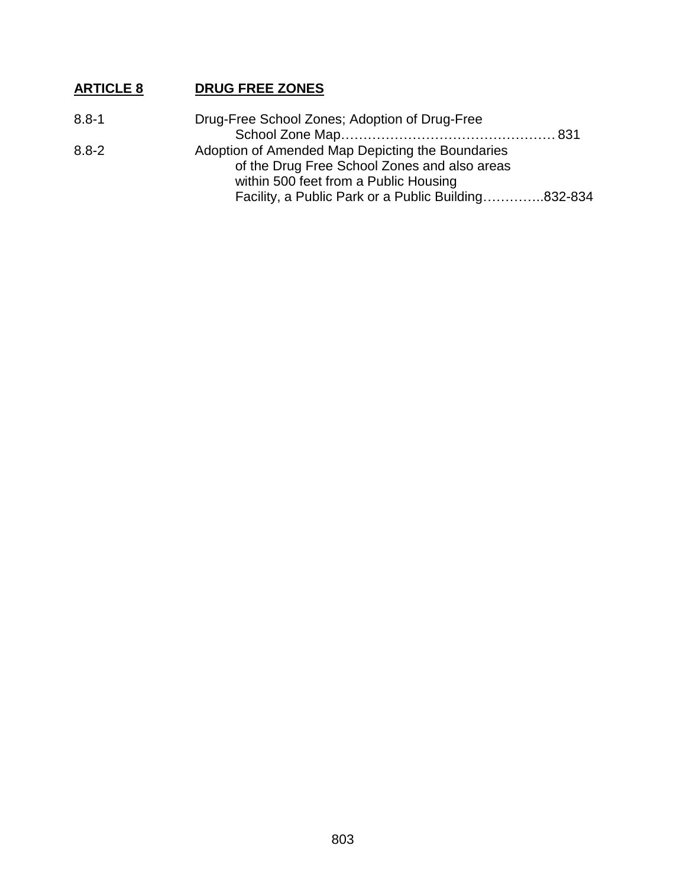## **ARTICLE 8 DRUG FREE ZONES**

| Facility, a Public Park or a Public Building832-834 |
|-----------------------------------------------------|
|                                                     |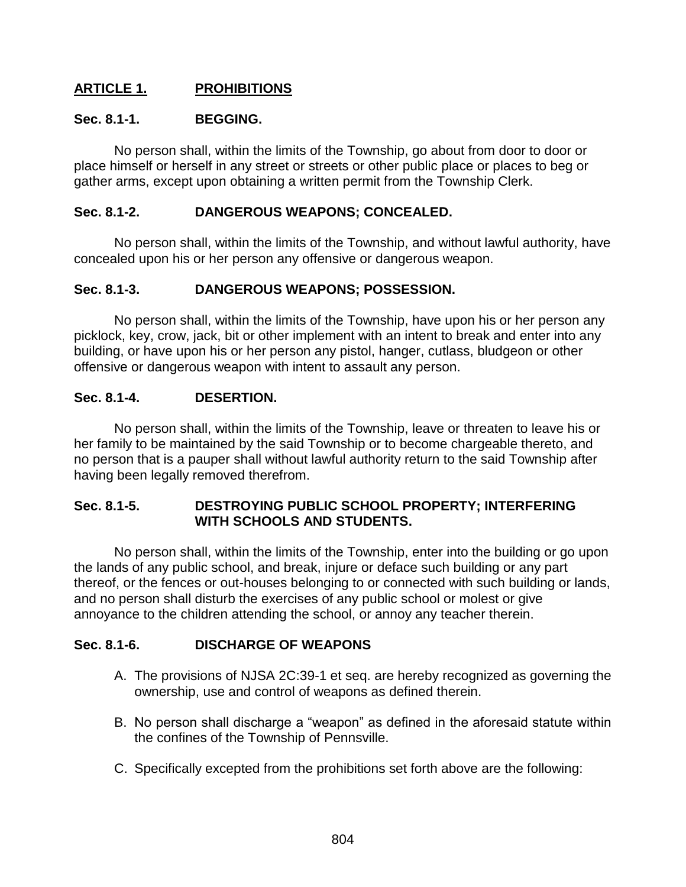### **ARTICLE 1. PROHIBITIONS**

### **Sec. 8.1-1. BEGGING.**

No person shall, within the limits of the Township, go about from door to door or place himself or herself in any street or streets or other public place or places to beg or gather arms, except upon obtaining a written permit from the Township Clerk.

### **Sec. 8.1-2. DANGEROUS WEAPONS; CONCEALED.**

No person shall, within the limits of the Township, and without lawful authority, have concealed upon his or her person any offensive or dangerous weapon.

### **Sec. 8.1-3. DANGEROUS WEAPONS; POSSESSION.**

No person shall, within the limits of the Township, have upon his or her person any picklock, key, crow, jack, bit or other implement with an intent to break and enter into any building, or have upon his or her person any pistol, hanger, cutlass, bludgeon or other offensive or dangerous weapon with intent to assault any person.

#### **Sec. 8.1-4. DESERTION.**

No person shall, within the limits of the Township, leave or threaten to leave his or her family to be maintained by the said Township or to become chargeable thereto, and no person that is a pauper shall without lawful authority return to the said Township after having been legally removed therefrom.

#### **Sec. 8.1-5. DESTROYING PUBLIC SCHOOL PROPERTY; INTERFERING WITH SCHOOLS AND STUDENTS.**

No person shall, within the limits of the Township, enter into the building or go upon the lands of any public school, and break, injure or deface such building or any part thereof, or the fences or out-houses belonging to or connected with such building or lands, and no person shall disturb the exercises of any public school or molest or give annoyance to the children attending the school, or annoy any teacher therein.

### **Sec. 8.1-6. DISCHARGE OF WEAPONS**

- A. The provisions of NJSA 2C:39-1 et seq. are hereby recognized as governing the ownership, use and control of weapons as defined therein.
- B. No person shall discharge a "weapon" as defined in the aforesaid statute within the confines of the Township of Pennsville.
- C. Specifically excepted from the prohibitions set forth above are the following: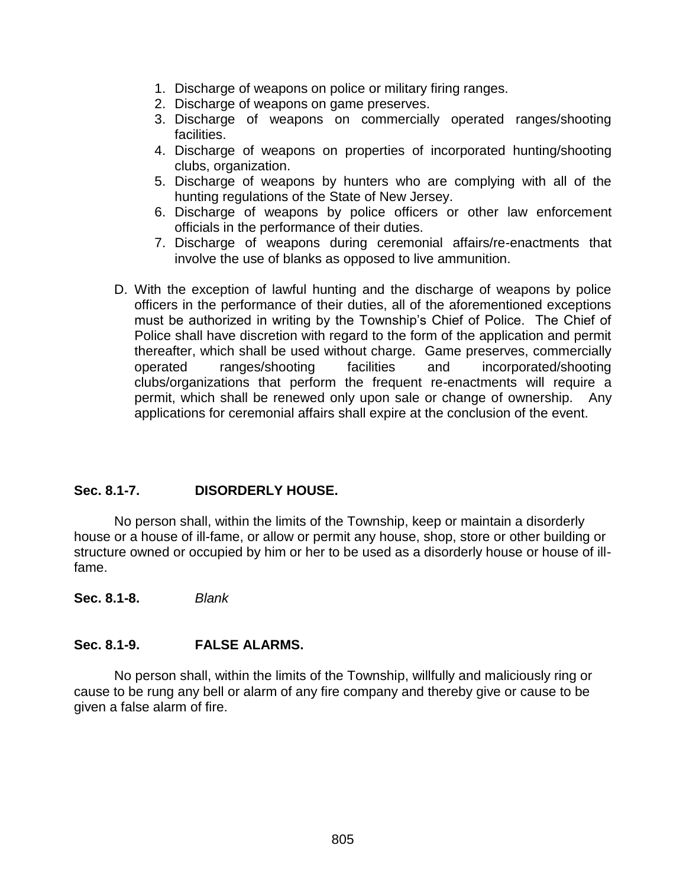- 1. Discharge of weapons on police or military firing ranges.
- 2. Discharge of weapons on game preserves.
- 3. Discharge of weapons on commercially operated ranges/shooting facilities.
- 4. Discharge of weapons on properties of incorporated hunting/shooting clubs, organization.
- 5. Discharge of weapons by hunters who are complying with all of the hunting regulations of the State of New Jersey.
- 6. Discharge of weapons by police officers or other law enforcement officials in the performance of their duties.
- 7. Discharge of weapons during ceremonial affairs/re-enactments that involve the use of blanks as opposed to live ammunition.
- D. With the exception of lawful hunting and the discharge of weapons by police officers in the performance of their duties, all of the aforementioned exceptions must be authorized in writing by the Township's Chief of Police. The Chief of Police shall have discretion with regard to the form of the application and permit thereafter, which shall be used without charge. Game preserves, commercially operated ranges/shooting facilities and incorporated/shooting clubs/organizations that perform the frequent re-enactments will require a permit, which shall be renewed only upon sale or change of ownership. Any applications for ceremonial affairs shall expire at the conclusion of the event.

#### **Sec. 8.1-7. DISORDERLY HOUSE.**

No person shall, within the limits of the Township, keep or maintain a disorderly house or a house of ill-fame, or allow or permit any house, shop, store or other building or structure owned or occupied by him or her to be used as a disorderly house or house of illfame.

**Sec. 8.1-8.** *Blank*

### **Sec. 8.1-9. FALSE ALARMS.**

No person shall, within the limits of the Township, willfully and maliciously ring or cause to be rung any bell or alarm of any fire company and thereby give or cause to be given a false alarm of fire.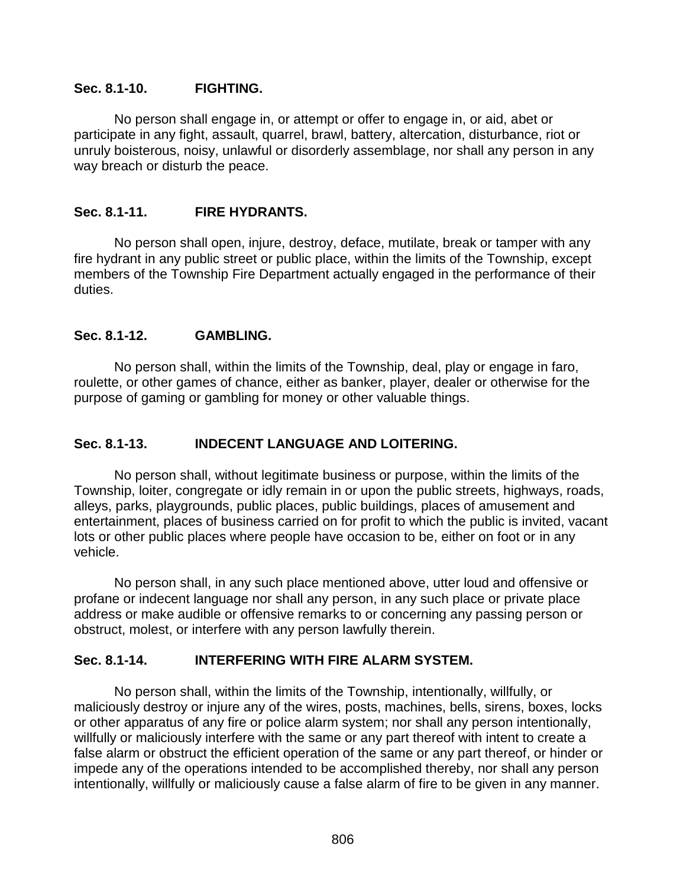#### **Sec. 8.1-10. FIGHTING.**

No person shall engage in, or attempt or offer to engage in, or aid, abet or participate in any fight, assault, quarrel, brawl, battery, altercation, disturbance, riot or unruly boisterous, noisy, unlawful or disorderly assemblage, nor shall any person in any way breach or disturb the peace.

#### **Sec. 8.1-11. FIRE HYDRANTS.**

No person shall open, injure, destroy, deface, mutilate, break or tamper with any fire hydrant in any public street or public place, within the limits of the Township, except members of the Township Fire Department actually engaged in the performance of their duties.

#### **Sec. 8.1-12. GAMBLING.**

No person shall, within the limits of the Township, deal, play or engage in faro, roulette, or other games of chance, either as banker, player, dealer or otherwise for the purpose of gaming or gambling for money or other valuable things.

### **Sec. 8.1-13. INDECENT LANGUAGE AND LOITERING.**

No person shall, without legitimate business or purpose, within the limits of the Township, loiter, congregate or idly remain in or upon the public streets, highways, roads, alleys, parks, playgrounds, public places, public buildings, places of amusement and entertainment, places of business carried on for profit to which the public is invited, vacant lots or other public places where people have occasion to be, either on foot or in any vehicle.

No person shall, in any such place mentioned above, utter loud and offensive or profane or indecent language nor shall any person, in any such place or private place address or make audible or offensive remarks to or concerning any passing person or obstruct, molest, or interfere with any person lawfully therein.

### **Sec. 8.1-14. INTERFERING WITH FIRE ALARM SYSTEM.**

No person shall, within the limits of the Township, intentionally, willfully, or maliciously destroy or injure any of the wires, posts, machines, bells, sirens, boxes, locks or other apparatus of any fire or police alarm system; nor shall any person intentionally, willfully or maliciously interfere with the same or any part thereof with intent to create a false alarm or obstruct the efficient operation of the same or any part thereof, or hinder or impede any of the operations intended to be accomplished thereby, nor shall any person intentionally, willfully or maliciously cause a false alarm of fire to be given in any manner.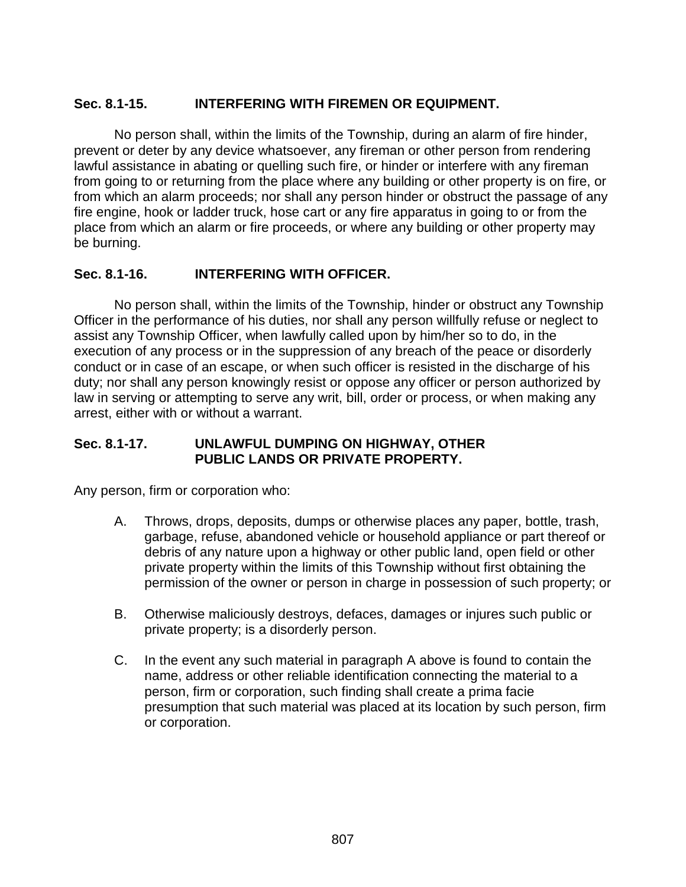### **Sec. 8.1-15. INTERFERING WITH FIREMEN OR EQUIPMENT.**

No person shall, within the limits of the Township, during an alarm of fire hinder, prevent or deter by any device whatsoever, any fireman or other person from rendering lawful assistance in abating or quelling such fire, or hinder or interfere with any fireman from going to or returning from the place where any building or other property is on fire, or from which an alarm proceeds; nor shall any person hinder or obstruct the passage of any fire engine, hook or ladder truck, hose cart or any fire apparatus in going to or from the place from which an alarm or fire proceeds, or where any building or other property may be burning.

### **Sec. 8.1-16. INTERFERING WITH OFFICER.**

No person shall, within the limits of the Township, hinder or obstruct any Township Officer in the performance of his duties, nor shall any person willfully refuse or neglect to assist any Township Officer, when lawfully called upon by him/her so to do, in the execution of any process or in the suppression of any breach of the peace or disorderly conduct or in case of an escape, or when such officer is resisted in the discharge of his duty; nor shall any person knowingly resist or oppose any officer or person authorized by law in serving or attempting to serve any writ, bill, order or process, or when making any arrest, either with or without a warrant.

### **Sec. 8.1-17. UNLAWFUL DUMPING ON HIGHWAY, OTHER PUBLIC LANDS OR PRIVATE PROPERTY.**

Any person, firm or corporation who:

- A. Throws, drops, deposits, dumps or otherwise places any paper, bottle, trash, garbage, refuse, abandoned vehicle or household appliance or part thereof or debris of any nature upon a highway or other public land, open field or other private property within the limits of this Township without first obtaining the permission of the owner or person in charge in possession of such property; or
- B. Otherwise maliciously destroys, defaces, damages or injures such public or private property; is a disorderly person.
- C. In the event any such material in paragraph A above is found to contain the name, address or other reliable identification connecting the material to a person, firm or corporation, such finding shall create a prima facie presumption that such material was placed at its location by such person, firm or corporation.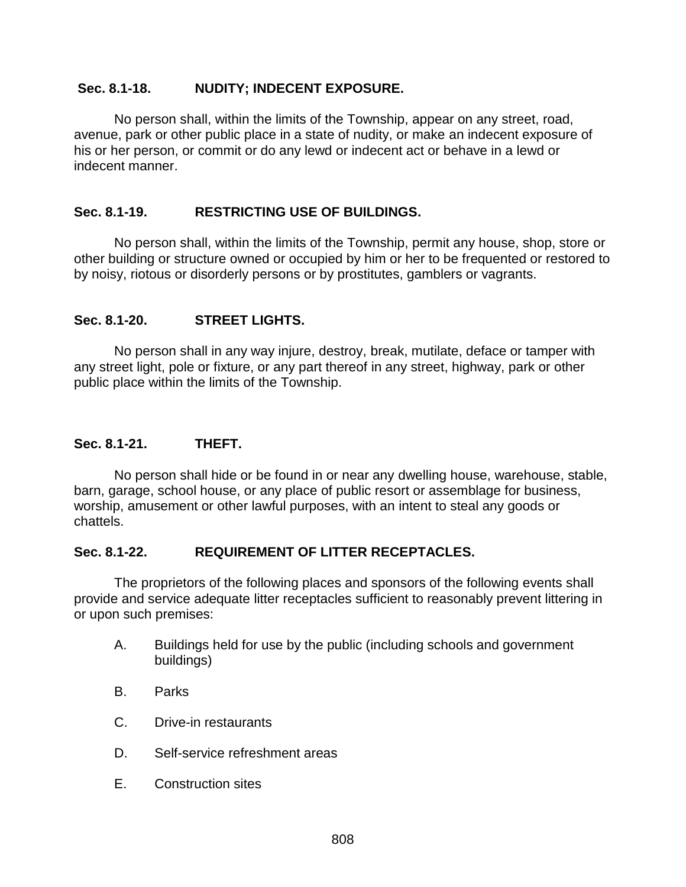#### **Sec. 8.1-18. NUDITY; INDECENT EXPOSURE.**

No person shall, within the limits of the Township, appear on any street, road, avenue, park or other public place in a state of nudity, or make an indecent exposure of his or her person, or commit or do any lewd or indecent act or behave in a lewd or indecent manner.

#### **Sec. 8.1-19. RESTRICTING USE OF BUILDINGS.**

No person shall, within the limits of the Township, permit any house, shop, store or other building or structure owned or occupied by him or her to be frequented or restored to by noisy, riotous or disorderly persons or by prostitutes, gamblers or vagrants.

#### **Sec. 8.1-20. STREET LIGHTS.**

No person shall in any way injure, destroy, break, mutilate, deface or tamper with any street light, pole or fixture, or any part thereof in any street, highway, park or other public place within the limits of the Township.

#### **Sec. 8.1-21. THEFT.**

No person shall hide or be found in or near any dwelling house, warehouse, stable, barn, garage, school house, or any place of public resort or assemblage for business, worship, amusement or other lawful purposes, with an intent to steal any goods or chattels.

#### **Sec. 8.1-22. REQUIREMENT OF LITTER RECEPTACLES.**

The proprietors of the following places and sponsors of the following events shall provide and service adequate litter receptacles sufficient to reasonably prevent littering in or upon such premises:

- A. Buildings held for use by the public (including schools and government buildings)
- B. Parks
- C. Drive-in restaurants
- D. Self-service refreshment areas
- E. Construction sites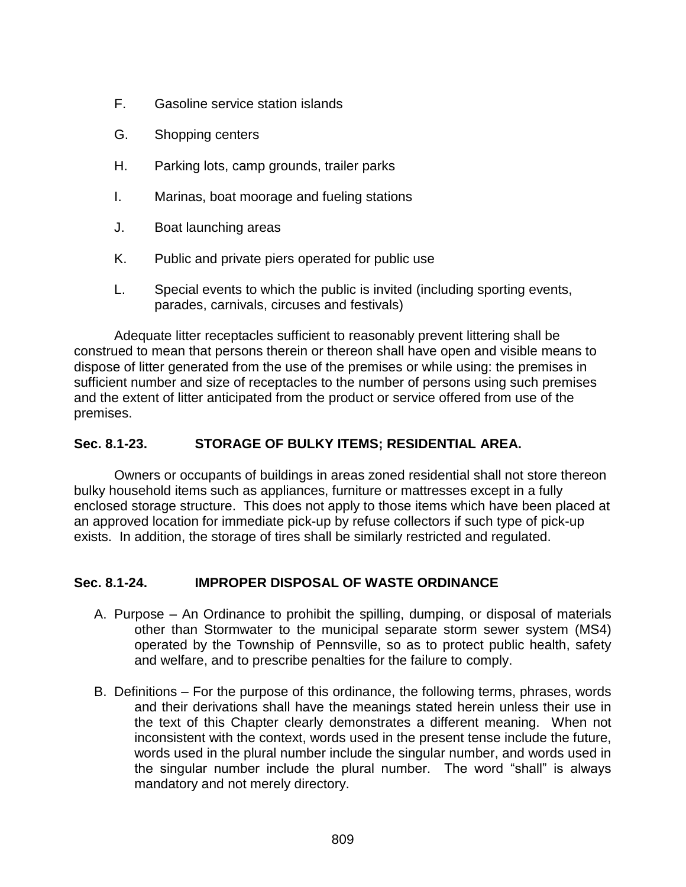- F. Gasoline service station islands
- G. Shopping centers
- H. Parking lots, camp grounds, trailer parks
- I. Marinas, boat moorage and fueling stations
- J. Boat launching areas
- K. Public and private piers operated for public use
- L. Special events to which the public is invited (including sporting events, parades, carnivals, circuses and festivals)

Adequate litter receptacles sufficient to reasonably prevent littering shall be construed to mean that persons therein or thereon shall have open and visible means to dispose of litter generated from the use of the premises or while using: the premises in sufficient number and size of receptacles to the number of persons using such premises and the extent of litter anticipated from the product or service offered from use of the premises.

### **Sec. 8.1-23. STORAGE OF BULKY ITEMS; RESIDENTIAL AREA.**

Owners or occupants of buildings in areas zoned residential shall not store thereon bulky household items such as appliances, furniture or mattresses except in a fully enclosed storage structure. This does not apply to those items which have been placed at an approved location for immediate pick-up by refuse collectors if such type of pick-up exists. In addition, the storage of tires shall be similarly restricted and regulated.

#### **Sec. 8.1-24. IMPROPER DISPOSAL OF WASTE ORDINANCE**

- A. Purpose An Ordinance to prohibit the spilling, dumping, or disposal of materials other than Stormwater to the municipal separate storm sewer system (MS4) operated by the Township of Pennsville, so as to protect public health, safety and welfare, and to prescribe penalties for the failure to comply.
- B. Definitions For the purpose of this ordinance, the following terms, phrases, words and their derivations shall have the meanings stated herein unless their use in the text of this Chapter clearly demonstrates a different meaning. When not inconsistent with the context, words used in the present tense include the future, words used in the plural number include the singular number, and words used in the singular number include the plural number. The word "shall" is always mandatory and not merely directory.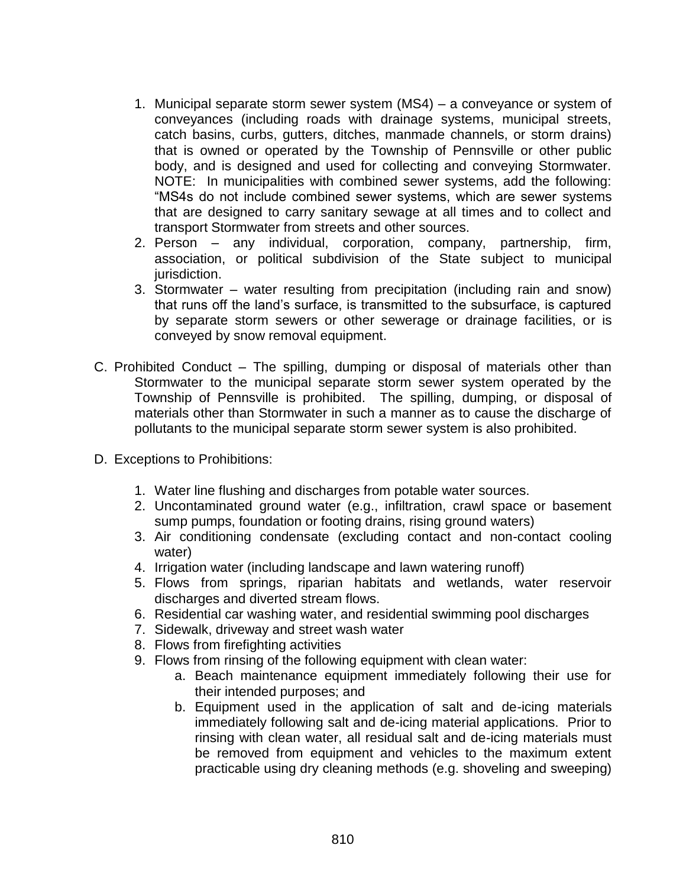- 1. Municipal separate storm sewer system (MS4) a conveyance or system of conveyances (including roads with drainage systems, municipal streets, catch basins, curbs, gutters, ditches, manmade channels, or storm drains) that is owned or operated by the Township of Pennsville or other public body, and is designed and used for collecting and conveying Stormwater. NOTE: In municipalities with combined sewer systems, add the following: "MS4s do not include combined sewer systems, which are sewer systems that are designed to carry sanitary sewage at all times and to collect and transport Stormwater from streets and other sources.
- 2. Person any individual, corporation, company, partnership, firm, association, or political subdivision of the State subject to municipal jurisdiction.
- 3. Stormwater water resulting from precipitation (including rain and snow) that runs off the land's surface, is transmitted to the subsurface, is captured by separate storm sewers or other sewerage or drainage facilities, or is conveyed by snow removal equipment.
- C. Prohibited Conduct The spilling, dumping or disposal of materials other than Stormwater to the municipal separate storm sewer system operated by the Township of Pennsville is prohibited. The spilling, dumping, or disposal of materials other than Stormwater in such a manner as to cause the discharge of pollutants to the municipal separate storm sewer system is also prohibited.
- D. Exceptions to Prohibitions:
	- 1. Water line flushing and discharges from potable water sources.
	- 2. Uncontaminated ground water (e.g., infiltration, crawl space or basement sump pumps, foundation or footing drains, rising ground waters)
	- 3. Air conditioning condensate (excluding contact and non-contact cooling water)
	- 4. Irrigation water (including landscape and lawn watering runoff)
	- 5. Flows from springs, riparian habitats and wetlands, water reservoir discharges and diverted stream flows.
	- 6. Residential car washing water, and residential swimming pool discharges
	- 7. Sidewalk, driveway and street wash water
	- 8. Flows from firefighting activities
	- 9. Flows from rinsing of the following equipment with clean water:
		- a. Beach maintenance equipment immediately following their use for their intended purposes; and
		- b. Equipment used in the application of salt and de-icing materials immediately following salt and de-icing material applications. Prior to rinsing with clean water, all residual salt and de-icing materials must be removed from equipment and vehicles to the maximum extent practicable using dry cleaning methods (e.g. shoveling and sweeping)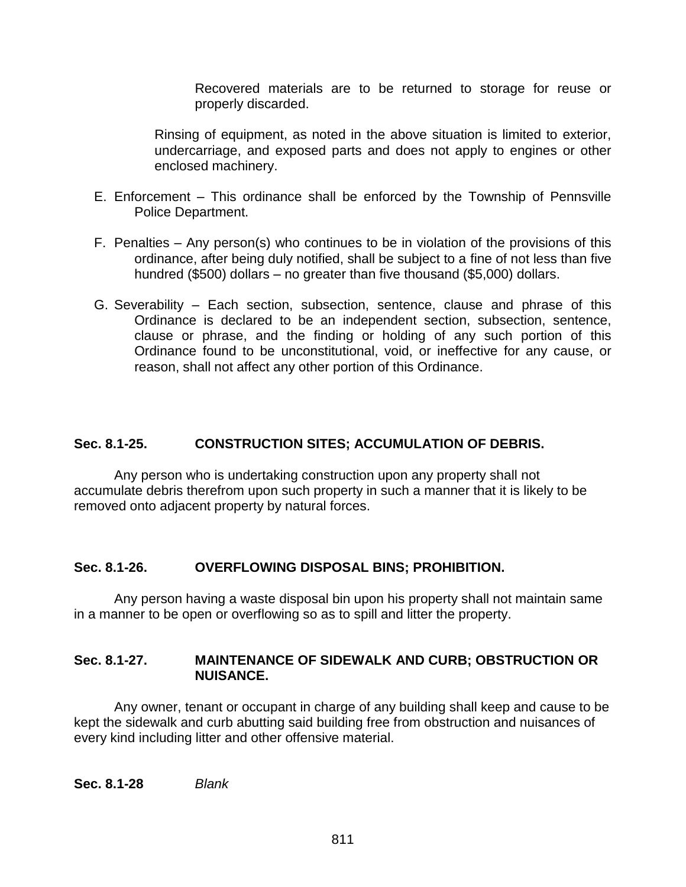Recovered materials are to be returned to storage for reuse or properly discarded.

Rinsing of equipment, as noted in the above situation is limited to exterior, undercarriage, and exposed parts and does not apply to engines or other enclosed machinery.

- E. Enforcement This ordinance shall be enforced by the Township of Pennsville Police Department.
- F. Penalties Any person(s) who continues to be in violation of the provisions of this ordinance, after being duly notified, shall be subject to a fine of not less than five hundred (\$500) dollars – no greater than five thousand (\$5,000) dollars.
- G. Severability Each section, subsection, sentence, clause and phrase of this Ordinance is declared to be an independent section, subsection, sentence, clause or phrase, and the finding or holding of any such portion of this Ordinance found to be unconstitutional, void, or ineffective for any cause, or reason, shall not affect any other portion of this Ordinance.

### **Sec. 8.1-25. CONSTRUCTION SITES; ACCUMULATION OF DEBRIS.**

Any person who is undertaking construction upon any property shall not accumulate debris therefrom upon such property in such a manner that it is likely to be removed onto adjacent property by natural forces.

#### **Sec. 8.1-26. OVERFLOWING DISPOSAL BINS; PROHIBITION.**

Any person having a waste disposal bin upon his property shall not maintain same in a manner to be open or overflowing so as to spill and litter the property.

#### **Sec. 8.1-27. MAINTENANCE OF SIDEWALK AND CURB; OBSTRUCTION OR NUISANCE.**

Any owner, tenant or occupant in charge of any building shall keep and cause to be kept the sidewalk and curb abutting said building free from obstruction and nuisances of every kind including litter and other offensive material.

**Sec. 8.1-28** *Blank*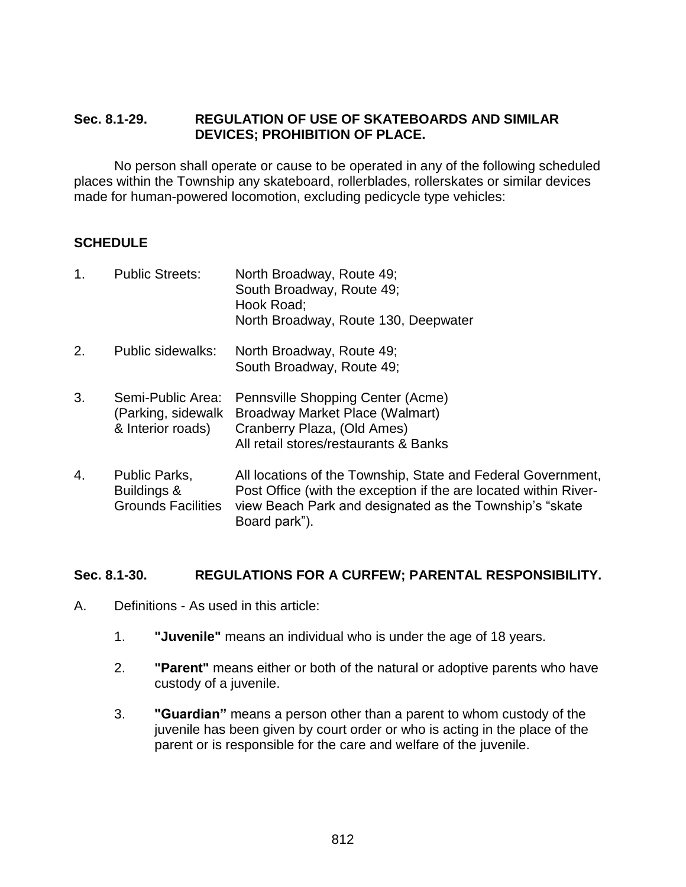#### **Sec. 8.1-29. REGULATION OF USE OF SKATEBOARDS AND SIMILAR DEVICES; PROHIBITION OF PLACE.**

No person shall operate or cause to be operated in any of the following scheduled places within the Township any skateboard, rollerblades, rollerskates or similar devices made for human-powered locomotion, excluding pedicycle type vehicles:

### **SCHEDULE**

| 1. | <b>Public Streets:</b>                                       | North Broadway, Route 49;<br>South Broadway, Route 49;<br>Hook Road;<br>North Broadway, Route 130, Deepwater                                                                                                  |
|----|--------------------------------------------------------------|---------------------------------------------------------------------------------------------------------------------------------------------------------------------------------------------------------------|
| 2. | Public sidewalks:                                            | North Broadway, Route 49;<br>South Broadway, Route 49;                                                                                                                                                        |
| 3. | Semi-Public Area:<br>(Parking, sidewalk<br>& Interior roads) | Pennsville Shopping Center (Acme)<br>Broadway Market Place (Walmart)<br>Cranberry Plaza, (Old Ames)<br>All retail stores/restaurants & Banks                                                                  |
| 4. | Public Parks,<br>Buildings &<br><b>Grounds Facilities</b>    | All locations of the Township, State and Federal Government,<br>Post Office (with the exception if the are located within River-<br>view Beach Park and designated as the Township's "skate"<br>Board park"). |

#### **Sec. 8.1-30. REGULATIONS FOR A CURFEW; PARENTAL RESPONSIBILITY.**

- A. Definitions As used in this article:
	- 1. **"Juvenile"** means an individual who is under the age of 18 years.
	- 2. **"Parent"** means either or both of the natural or adoptive parents who have custody of a juvenile.
	- 3. **"Guardian"** means a person other than a parent to whom custody of the juvenile has been given by court order or who is acting in the place of the parent or is responsible for the care and welfare of the juvenile.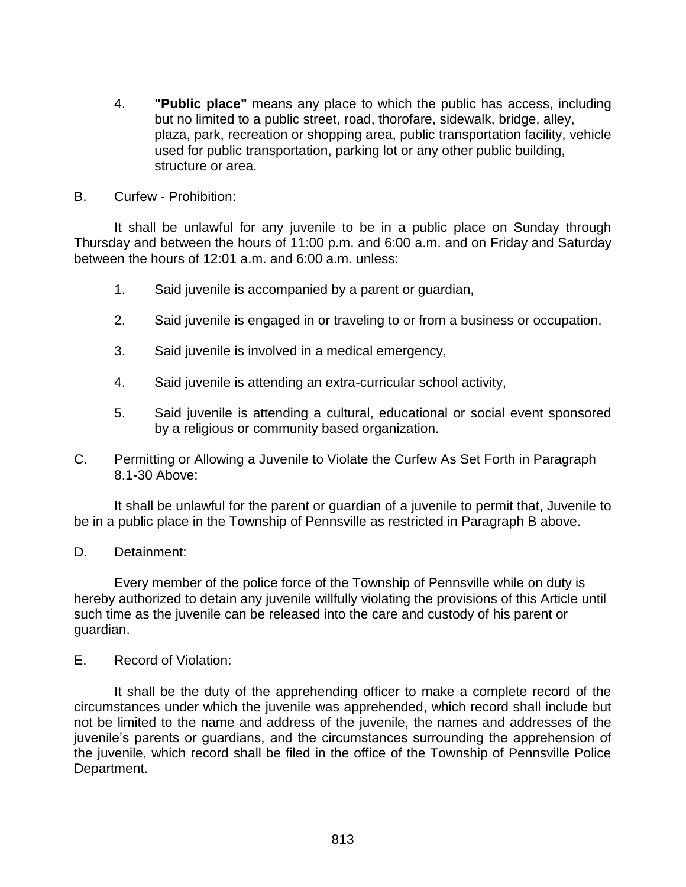- 4. **"Public place"** means any place to which the public has access, including but no limited to a public street, road, thorofare, sidewalk, bridge, alley, plaza, park, recreation or shopping area, public transportation facility, vehicle used for public transportation, parking lot or any other public building, structure or area.
- B. Curfew Prohibition:

It shall be unlawful for any juvenile to be in a public place on Sunday through Thursday and between the hours of 11:00 p.m. and 6:00 a.m. and on Friday and Saturday between the hours of 12:01 a.m. and 6:00 a.m. unless:

- 1. Said juvenile is accompanied by a parent or guardian,
- 2. Said juvenile is engaged in or traveling to or from a business or occupation,
- 3. Said juvenile is involved in a medical emergency,
- 4. Said juvenile is attending an extra-curricular school activity,
- 5. Said juvenile is attending a cultural, educational or social event sponsored by a religious or community based organization.
- C. Permitting or Allowing a Juvenile to Violate the Curfew As Set Forth in Paragraph 8.1-30 Above:

It shall be unlawful for the parent or guardian of a juvenile to permit that, Juvenile to be in a public place in the Township of Pennsville as restricted in Paragraph B above.

D. Detainment:

Every member of the police force of the Township of Pennsville while on duty is hereby authorized to detain any juvenile willfully violating the provisions of this Article until such time as the juvenile can be released into the care and custody of his parent or guardian.

E. Record of Violation:

It shall be the duty of the apprehending officer to make a complete record of the circumstances under which the juvenile was apprehended, which record shall include but not be limited to the name and address of the juvenile, the names and addresses of the juvenile's parents or guardians, and the circumstances surrounding the apprehension of the juvenile, which record shall be filed in the office of the Township of Pennsville Police Department.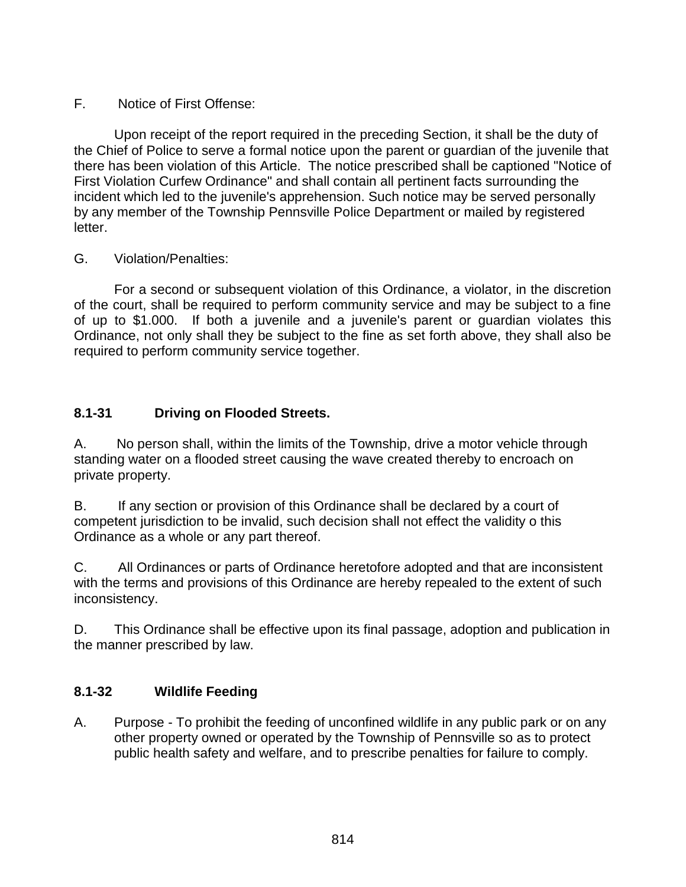### F. Notice of First Offense:

Upon receipt of the report required in the preceding Section, it shall be the duty of the Chief of Police to serve a formal notice upon the parent or guardian of the juvenile that there has been violation of this Article. The notice prescribed shall be captioned "Notice of First Violation Curfew Ordinance" and shall contain all pertinent facts surrounding the incident which led to the juvenile's apprehension. Such notice may be served personally by any member of the Township Pennsville Police Department or mailed by registered letter.

### G. Violation/Penalties:

For a second or subsequent violation of this Ordinance, a violator, in the discretion of the court, shall be required to perform community service and may be subject to a fine of up to \$1.000. If both a juvenile and a juvenile's parent or guardian violates this Ordinance, not only shall they be subject to the fine as set forth above, they shall also be required to perform community service together.

## **8.1-31 Driving on Flooded Streets.**

A. No person shall, within the limits of the Township, drive a motor vehicle through standing water on a flooded street causing the wave created thereby to encroach on private property.

B. If any section or provision of this Ordinance shall be declared by a court of competent jurisdiction to be invalid, such decision shall not effect the validity o this Ordinance as a whole or any part thereof.

C. All Ordinances or parts of Ordinance heretofore adopted and that are inconsistent with the terms and provisions of this Ordinance are hereby repealed to the extent of such inconsistency.

D. This Ordinance shall be effective upon its final passage, adoption and publication in the manner prescribed by law.

### **8.1-32 Wildlife Feeding**

A. Purpose - To prohibit the feeding of unconfined wildlife in any public park or on any other property owned or operated by the Township of Pennsville so as to protect public health safety and welfare, and to prescribe penalties for failure to comply.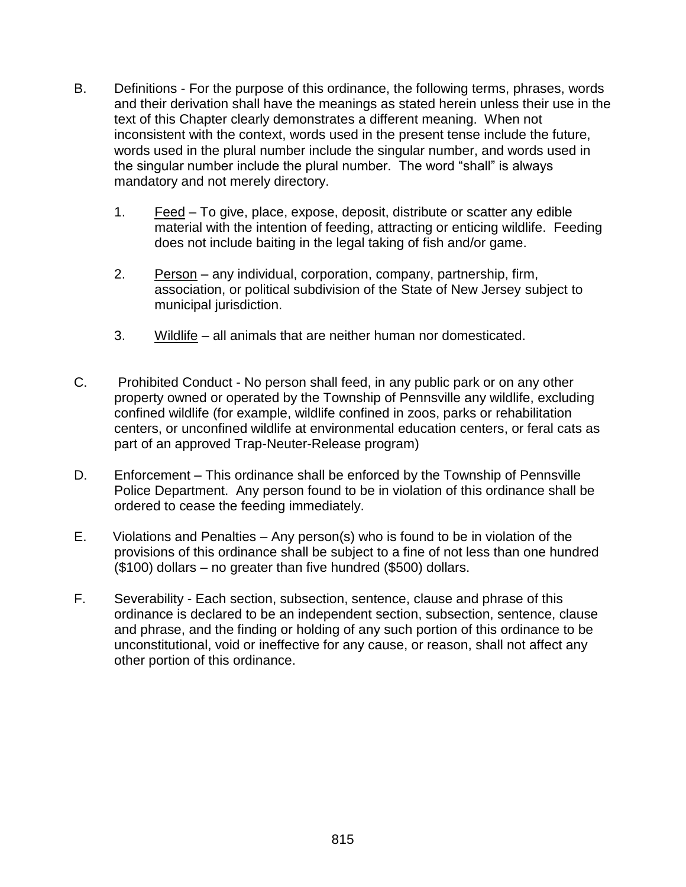- B. Definitions For the purpose of this ordinance, the following terms, phrases, words and their derivation shall have the meanings as stated herein unless their use in the text of this Chapter clearly demonstrates a different meaning. When not inconsistent with the context, words used in the present tense include the future, words used in the plural number include the singular number, and words used in the singular number include the plural number. The word "shall" is always mandatory and not merely directory.
	- 1. Feed To give, place, expose, deposit, distribute or scatter any edible material with the intention of feeding, attracting or enticing wildlife. Feeding does not include baiting in the legal taking of fish and/or game.
	- 2. Person any individual, corporation, company, partnership, firm, association, or political subdivision of the State of New Jersey subject to municipal jurisdiction.
	- 3. Wildlife all animals that are neither human nor domesticated.
- C. Prohibited Conduct No person shall feed, in any public park or on any other property owned or operated by the Township of Pennsville any wildlife, excluding confined wildlife (for example, wildlife confined in zoos, parks or rehabilitation centers, or unconfined wildlife at environmental education centers, or feral cats as part of an approved Trap-Neuter-Release program)
- D. Enforcement This ordinance shall be enforced by the Township of Pennsville Police Department. Any person found to be in violation of this ordinance shall be ordered to cease the feeding immediately.
- E. Violations and Penalties Any person(s) who is found to be in violation of the provisions of this ordinance shall be subject to a fine of not less than one hundred (\$100) dollars – no greater than five hundred (\$500) dollars.
- F. Severability Each section, subsection, sentence, clause and phrase of this ordinance is declared to be an independent section, subsection, sentence, clause and phrase, and the finding or holding of any such portion of this ordinance to be unconstitutional, void or ineffective for any cause, or reason, shall not affect any other portion of this ordinance.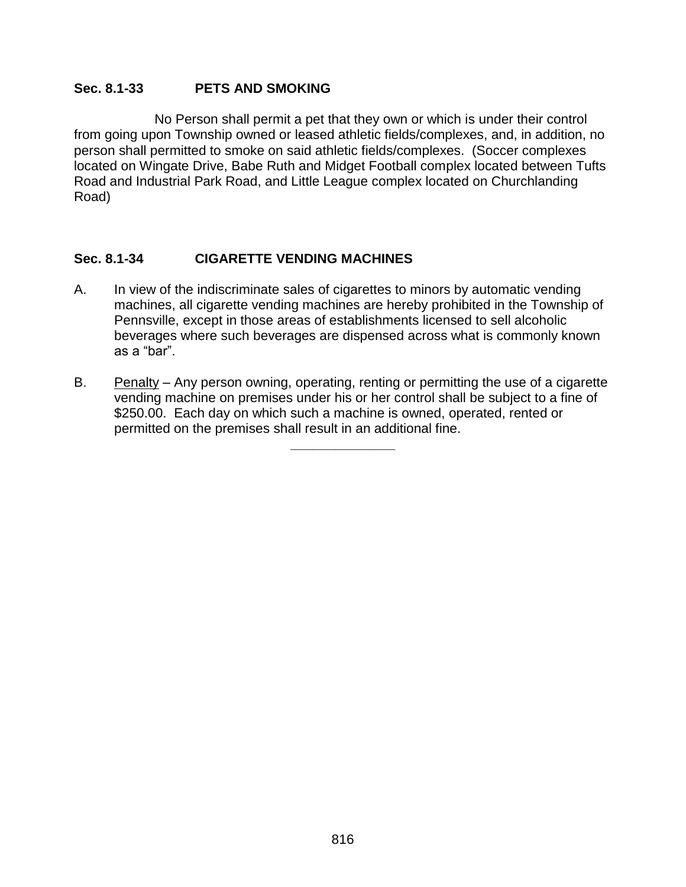### **Sec. 8.1-33 PETS AND SMOKING**

No Person shall permit a pet that they own or which is under their control from going upon Township owned or leased athletic fields/complexes, and, in addition, no person shall permitted to smoke on said athletic fields/complexes. (Soccer complexes located on Wingate Drive, Babe Ruth and Midget Football complex located between Tufts Road and Industrial Park Road, and Little League complex located on Churchlanding Road)

### **Sec. 8.1-34 CIGARETTE VENDING MACHINES**

- A. In view of the indiscriminate sales of cigarettes to minors by automatic vending machines, all cigarette vending machines are hereby prohibited in the Township of Pennsville, except in those areas of establishments licensed to sell alcoholic beverages where such beverages are dispensed across what is commonly known as a "bar".
- B. Penalty Any person owning, operating, renting or permitting the use of a cigarette vending machine on premises under his or her control shall be subject to a fine of \$250.00. Each day on which such a machine is owned, operated, rented or permitted on the premises shall result in an additional fine.

**\_\_\_\_\_\_\_\_\_\_\_\_\_\_**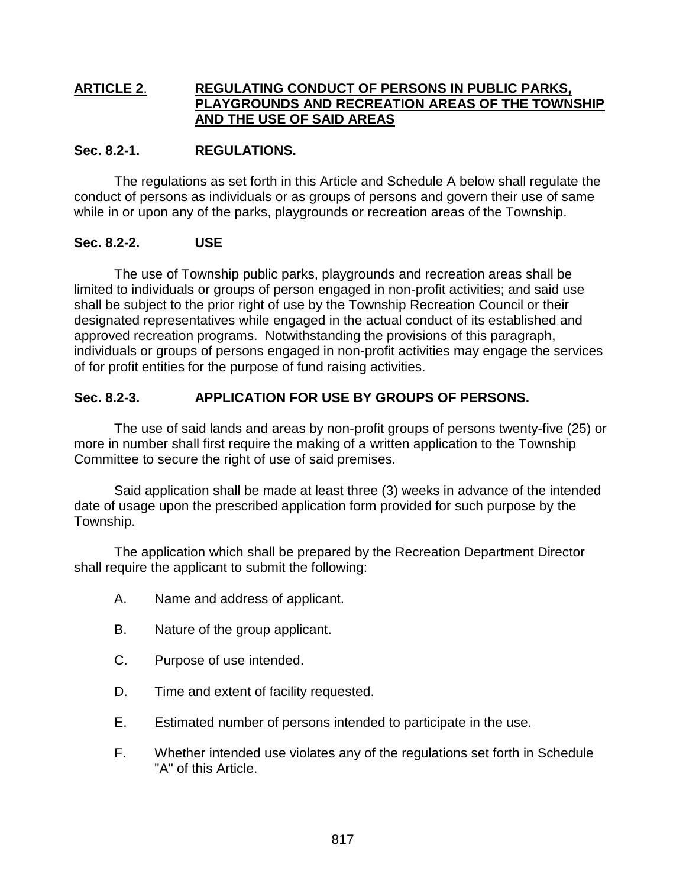### **ARTICLE 2**. **REGULATING CONDUCT OF PERSONS IN PUBLIC PARKS, PLAYGROUNDS AND RECREATION AREAS OF THE TOWNSHIP AND THE USE OF SAID AREAS**

### **Sec. 8.2-1. REGULATIONS.**

The regulations as set forth in this Article and Schedule A below shall regulate the conduct of persons as individuals or as groups of persons and govern their use of same while in or upon any of the parks, playgrounds or recreation areas of the Township.

### **Sec. 8.2-2. USE**

The use of Township public parks, playgrounds and recreation areas shall be limited to individuals or groups of person engaged in non-profit activities; and said use shall be subject to the prior right of use by the Township Recreation Council or their designated representatives while engaged in the actual conduct of its established and approved recreation programs. Notwithstanding the provisions of this paragraph, individuals or groups of persons engaged in non-profit activities may engage the services of for profit entities for the purpose of fund raising activities.

### **Sec. 8.2-3. APPLICATION FOR USE BY GROUPS OF PERSONS.**

The use of said lands and areas by non-profit groups of persons twenty-five (25) or more in number shall first require the making of a written application to the Township Committee to secure the right of use of said premises.

Said application shall be made at least three (3) weeks in advance of the intended date of usage upon the prescribed application form provided for such purpose by the Township.

The application which shall be prepared by the Recreation Department Director shall require the applicant to submit the following:

- A. Name and address of applicant.
- B. Nature of the group applicant.
- C. Purpose of use intended.
- D. Time and extent of facility requested.
- E. Estimated number of persons intended to participate in the use.
- F. Whether intended use violates any of the regulations set forth in Schedule "A" of this Article.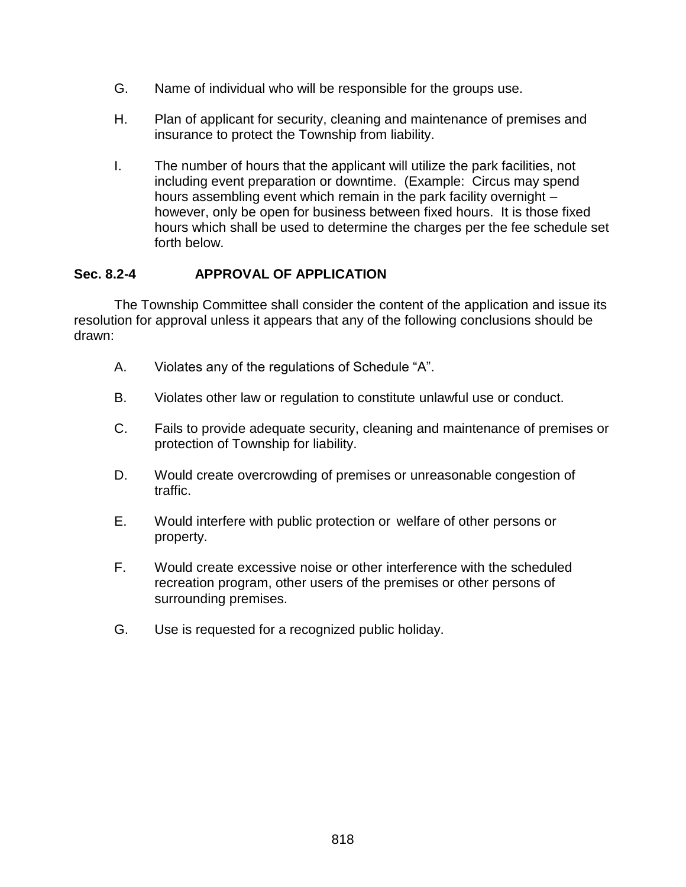- G. Name of individual who will be responsible for the groups use.
- H. Plan of applicant for security, cleaning and maintenance of premises and insurance to protect the Township from liability.
- I. The number of hours that the applicant will utilize the park facilities, not including event preparation or downtime. (Example: Circus may spend hours assembling event which remain in the park facility overnight – however, only be open for business between fixed hours. It is those fixed hours which shall be used to determine the charges per the fee schedule set forth below.

### **Sec. 8.2-4 APPROVAL OF APPLICATION**

The Township Committee shall consider the content of the application and issue its resolution for approval unless it appears that any of the following conclusions should be drawn:

- A. Violates any of the regulations of Schedule "A".
- B. Violates other law or regulation to constitute unlawful use or conduct.
- C. Fails to provide adequate security, cleaning and maintenance of premises or protection of Township for liability.
- D. Would create overcrowding of premises or unreasonable congestion of traffic.
- E. Would interfere with public protection or welfare of other persons or property.
- F. Would create excessive noise or other interference with the scheduled recreation program, other users of the premises or other persons of surrounding premises.
- G. Use is requested for a recognized public holiday.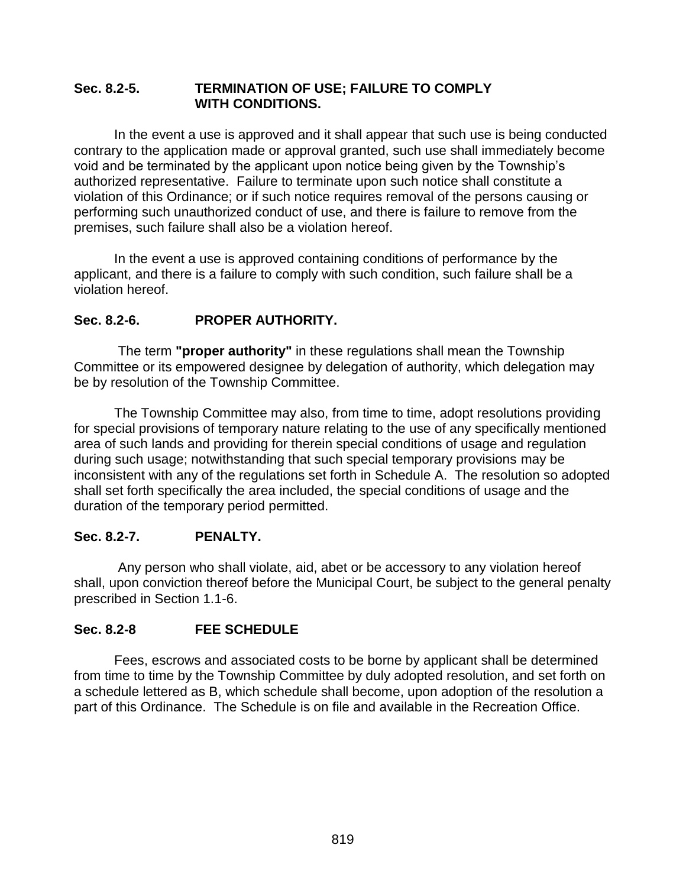#### **Sec. 8.2-5. TERMINATION OF USE; FAILURE TO COMPLY WITH CONDITIONS.**

In the event a use is approved and it shall appear that such use is being conducted contrary to the application made or approval granted, such use shall immediately become void and be terminated by the applicant upon notice being given by the Township's authorized representative. Failure to terminate upon such notice shall constitute a violation of this Ordinance; or if such notice requires removal of the persons causing or performing such unauthorized conduct of use, and there is failure to remove from the premises, such failure shall also be a violation hereof.

In the event a use is approved containing conditions of performance by the applicant, and there is a failure to comply with such condition, such failure shall be a violation hereof.

### **Sec. 8.2-6. PROPER AUTHORITY.**

The term **"proper authority"** in these regulations shall mean the Township Committee or its empowered designee by delegation of authority, which delegation may be by resolution of the Township Committee.

The Township Committee may also, from time to time, adopt resolutions providing for special provisions of temporary nature relating to the use of any specifically mentioned area of such lands and providing for therein special conditions of usage and regulation during such usage; notwithstanding that such special temporary provisions may be inconsistent with any of the regulations set forth in Schedule A. The resolution so adopted shall set forth specifically the area included, the special conditions of usage and the duration of the temporary period permitted.

### **Sec. 8.2-7. PENALTY.**

Any person who shall violate, aid, abet or be accessory to any violation hereof shall, upon conviction thereof before the Municipal Court, be subject to the general penalty prescribed in Section 1.1-6.

#### **Sec. 8.2-8 FEE SCHEDULE**

Fees, escrows and associated costs to be borne by applicant shall be determined from time to time by the Township Committee by duly adopted resolution, and set forth on a schedule lettered as B, which schedule shall become, upon adoption of the resolution a part of this Ordinance. The Schedule is on file and available in the Recreation Office.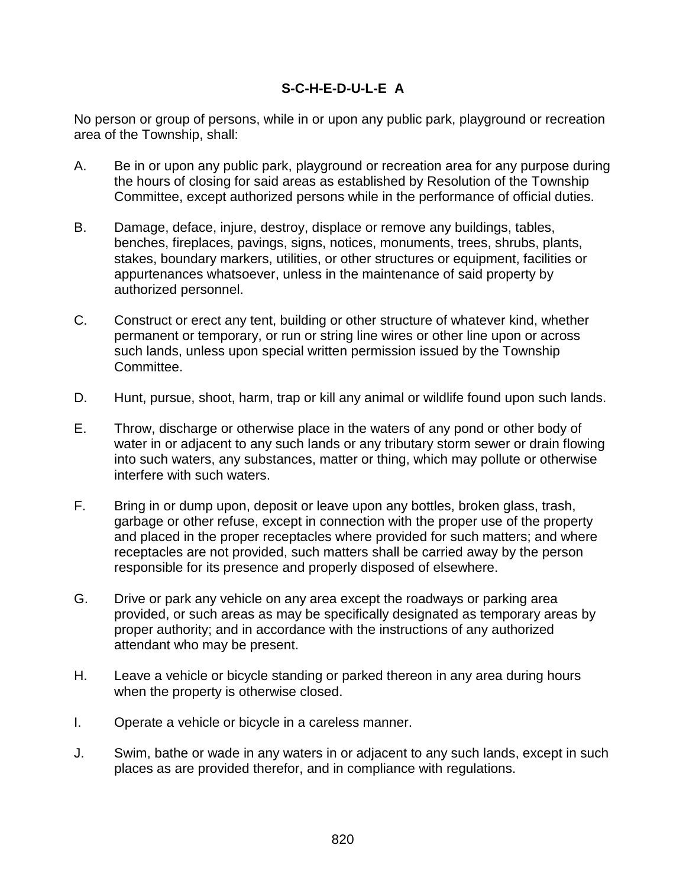### **S-C-H-E-D-U-L-E A**

No person or group of persons, while in or upon any public park, playground or recreation area of the Township, shall:

- A. Be in or upon any public park, playground or recreation area for any purpose during the hours of closing for said areas as established by Resolution of the Township Committee, except authorized persons while in the performance of official duties.
- B. Damage, deface, injure, destroy, displace or remove any buildings, tables, benches, fireplaces, pavings, signs, notices, monuments, trees, shrubs, plants, stakes, boundary markers, utilities, or other structures or equipment, facilities or appurtenances whatsoever, unless in the maintenance of said property by authorized personnel.
- C. Construct or erect any tent, building or other structure of whatever kind, whether permanent or temporary, or run or string line wires or other line upon or across such lands, unless upon special written permission issued by the Township Committee.
- D. Hunt, pursue, shoot, harm, trap or kill any animal or wildlife found upon such lands.
- E. Throw, discharge or otherwise place in the waters of any pond or other body of water in or adjacent to any such lands or any tributary storm sewer or drain flowing into such waters, any substances, matter or thing, which may pollute or otherwise interfere with such waters.
- F. Bring in or dump upon, deposit or leave upon any bottles, broken glass, trash, garbage or other refuse, except in connection with the proper use of the property and placed in the proper receptacles where provided for such matters; and where receptacles are not provided, such matters shall be carried away by the person responsible for its presence and properly disposed of elsewhere.
- G. Drive or park any vehicle on any area except the roadways or parking area provided, or such areas as may be specifically designated as temporary areas by proper authority; and in accordance with the instructions of any authorized attendant who may be present.
- H. Leave a vehicle or bicycle standing or parked thereon in any area during hours when the property is otherwise closed.
- I. Operate a vehicle or bicycle in a careless manner.
- J. Swim, bathe or wade in any waters in or adjacent to any such lands, except in such places as are provided therefor, and in compliance with regulations.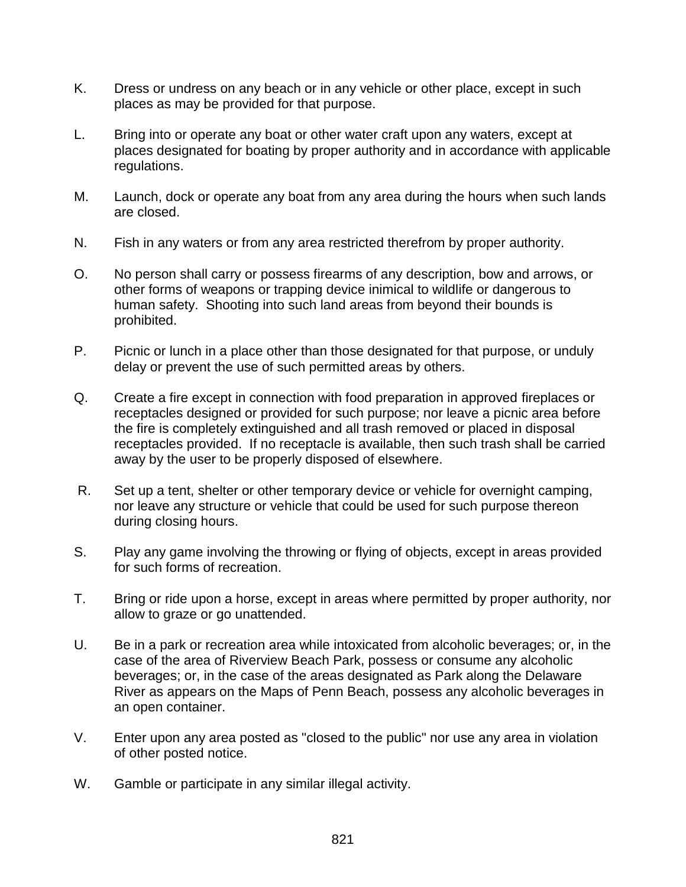- K. Dress or undress on any beach or in any vehicle or other place, except in such places as may be provided for that purpose.
- L. Bring into or operate any boat or other water craft upon any waters, except at places designated for boating by proper authority and in accordance with applicable regulations.
- M. Launch, dock or operate any boat from any area during the hours when such lands are closed.
- N. Fish in any waters or from any area restricted therefrom by proper authority.
- O. No person shall carry or possess firearms of any description, bow and arrows, or other forms of weapons or trapping device inimical to wildlife or dangerous to human safety. Shooting into such land areas from beyond their bounds is prohibited.
- P. Picnic or lunch in a place other than those designated for that purpose, or unduly delay or prevent the use of such permitted areas by others.
- Q. Create a fire except in connection with food preparation in approved fireplaces or receptacles designed or provided for such purpose; nor leave a picnic area before the fire is completely extinguished and all trash removed or placed in disposal receptacles provided. If no receptacle is available, then such trash shall be carried away by the user to be properly disposed of elsewhere.
- R. Set up a tent, shelter or other temporary device or vehicle for overnight camping, nor leave any structure or vehicle that could be used for such purpose thereon during closing hours.
- S. Play any game involving the throwing or flying of objects, except in areas provided for such forms of recreation.
- T. Bring or ride upon a horse, except in areas where permitted by proper authority, nor allow to graze or go unattended.
- U. Be in a park or recreation area while intoxicated from alcoholic beverages; or, in the case of the area of Riverview Beach Park, possess or consume any alcoholic beverages; or, in the case of the areas designated as Park along the Delaware River as appears on the Maps of Penn Beach, possess any alcoholic beverages in an open container.
- V. Enter upon any area posted as "closed to the public" nor use any area in violation of other posted notice.
- W. Gamble or participate in any similar illegal activity.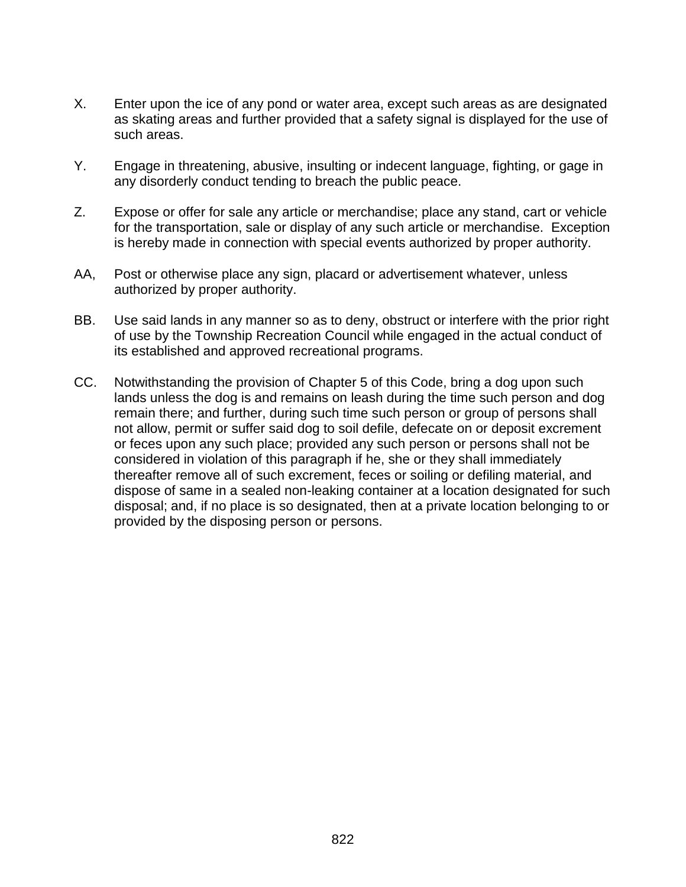- X. Enter upon the ice of any pond or water area, except such areas as are designated as skating areas and further provided that a safety signal is displayed for the use of such areas.
- Y. Engage in threatening, abusive, insulting or indecent language, fighting, or gage in any disorderly conduct tending to breach the public peace.
- Z. Expose or offer for sale any article or merchandise; place any stand, cart or vehicle for the transportation, sale or display of any such article or merchandise. Exception is hereby made in connection with special events authorized by proper authority.
- AA, Post or otherwise place any sign, placard or advertisement whatever, unless authorized by proper authority.
- BB. Use said lands in any manner so as to deny, obstruct or interfere with the prior right of use by the Township Recreation Council while engaged in the actual conduct of its established and approved recreational programs.
- CC. Notwithstanding the provision of Chapter 5 of this Code, bring a dog upon such lands unless the dog is and remains on leash during the time such person and dog remain there; and further, during such time such person or group of persons shall not allow, permit or suffer said dog to soil defile, defecate on or deposit excrement or feces upon any such place; provided any such person or persons shall not be considered in violation of this paragraph if he, she or they shall immediately thereafter remove all of such excrement, feces or soiling or defiling material, and dispose of same in a sealed non-leaking container at a location designated for such disposal; and, if no place is so designated, then at a private location belonging to or provided by the disposing person or persons.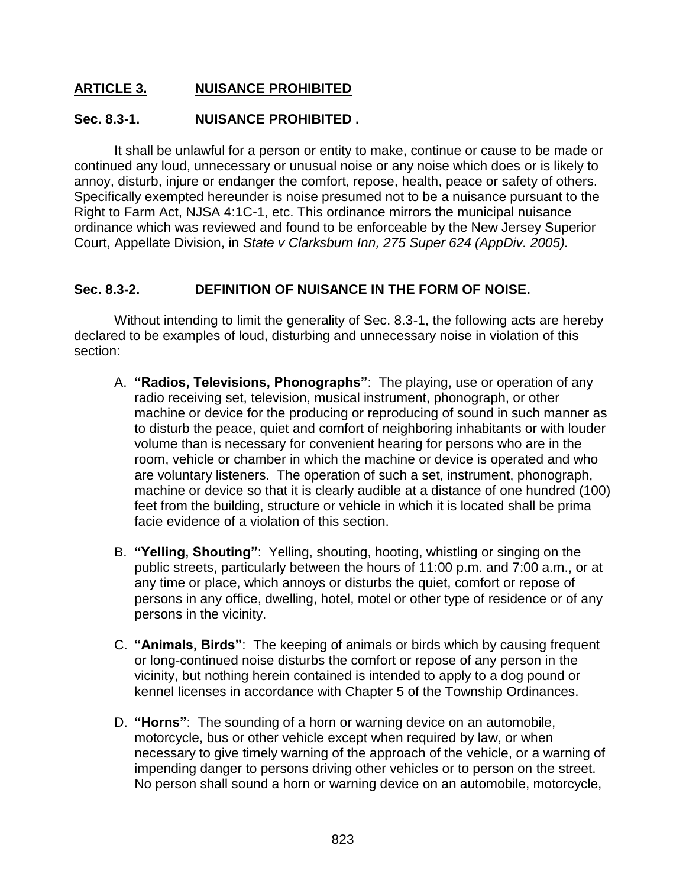### **ARTICLE 3. NUISANCE PROHIBITED**

### **Sec. 8.3-1. NUISANCE PROHIBITED .**

It shall be unlawful for a person or entity to make, continue or cause to be made or continued any loud, unnecessary or unusual noise or any noise which does or is likely to annoy, disturb, injure or endanger the comfort, repose, health, peace or safety of others. Specifically exempted hereunder is noise presumed not to be a nuisance pursuant to the Right to Farm Act, NJSA 4:1C-1, etc. This ordinance mirrors the municipal nuisance ordinance which was reviewed and found to be enforceable by the New Jersey Superior Court, Appellate Division, in *State v Clarksburn Inn, 275 Super 624 (AppDiv. 2005).*

### **Sec. 8.3-2. DEFINITION OF NUISANCE IN THE FORM OF NOISE.**

Without intending to limit the generality of Sec. 8.3-1, the following acts are hereby declared to be examples of loud, disturbing and unnecessary noise in violation of this section:

- A. **"Radios, Televisions, Phonographs"**: The playing, use or operation of any radio receiving set, television, musical instrument, phonograph, or other machine or device for the producing or reproducing of sound in such manner as to disturb the peace, quiet and comfort of neighboring inhabitants or with louder volume than is necessary for convenient hearing for persons who are in the room, vehicle or chamber in which the machine or device is operated and who are voluntary listeners. The operation of such a set, instrument, phonograph, machine or device so that it is clearly audible at a distance of one hundred (100) feet from the building, structure or vehicle in which it is located shall be prima facie evidence of a violation of this section.
- B. **"Yelling, Shouting"**: Yelling, shouting, hooting, whistling or singing on the public streets, particularly between the hours of 11:00 p.m. and 7:00 a.m., or at any time or place, which annoys or disturbs the quiet, comfort or repose of persons in any office, dwelling, hotel, motel or other type of residence or of any persons in the vicinity.
- C. **"Animals, Birds"**: The keeping of animals or birds which by causing frequent or long-continued noise disturbs the comfort or repose of any person in the vicinity, but nothing herein contained is intended to apply to a dog pound or kennel licenses in accordance with Chapter 5 of the Township Ordinances.
- D. **"Horns"**: The sounding of a horn or warning device on an automobile, motorcycle, bus or other vehicle except when required by law, or when necessary to give timely warning of the approach of the vehicle, or a warning of impending danger to persons driving other vehicles or to person on the street. No person shall sound a horn or warning device on an automobile, motorcycle,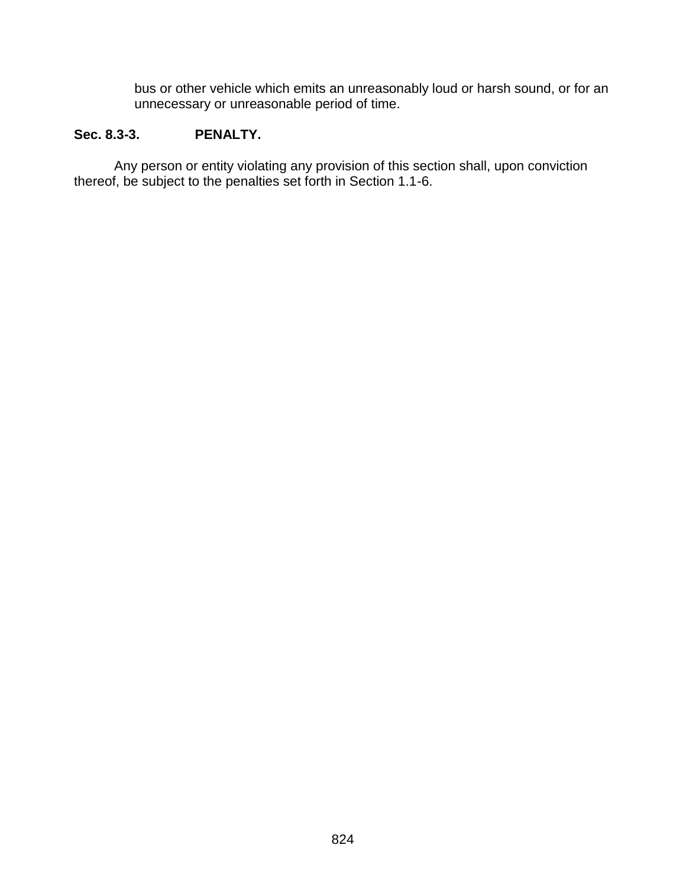bus or other vehicle which emits an unreasonably loud or harsh sound, or for an unnecessary or unreasonable period of time.

#### **Sec. 8.3-3. PENALTY.**

Any person or entity violating any provision of this section shall, upon conviction thereof, be subject to the penalties set forth in Section 1.1-6.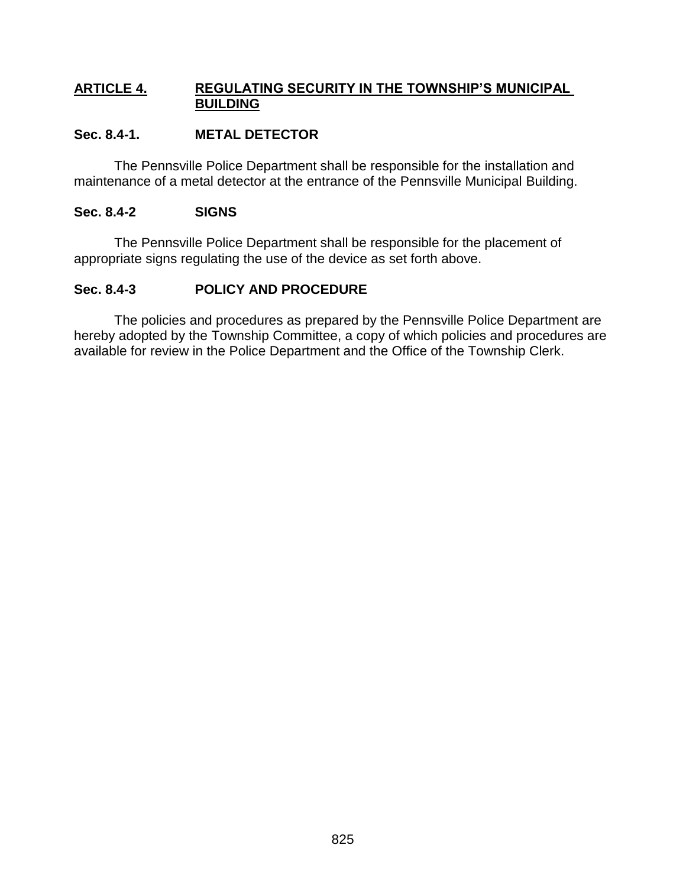### **ARTICLE 4. REGULATING SECURITY IN THE TOWNSHIP'S MUNICIPAL BUILDING**

### **Sec. 8.4-1. METAL DETECTOR**

The Pennsville Police Department shall be responsible for the installation and maintenance of a metal detector at the entrance of the Pennsville Municipal Building.

### **Sec. 8.4-2 SIGNS**

The Pennsville Police Department shall be responsible for the placement of appropriate signs regulating the use of the device as set forth above.

### **Sec. 8.4-3 POLICY AND PROCEDURE**

The policies and procedures as prepared by the Pennsville Police Department are hereby adopted by the Township Committee, a copy of which policies and procedures are available for review in the Police Department and the Office of the Township Clerk.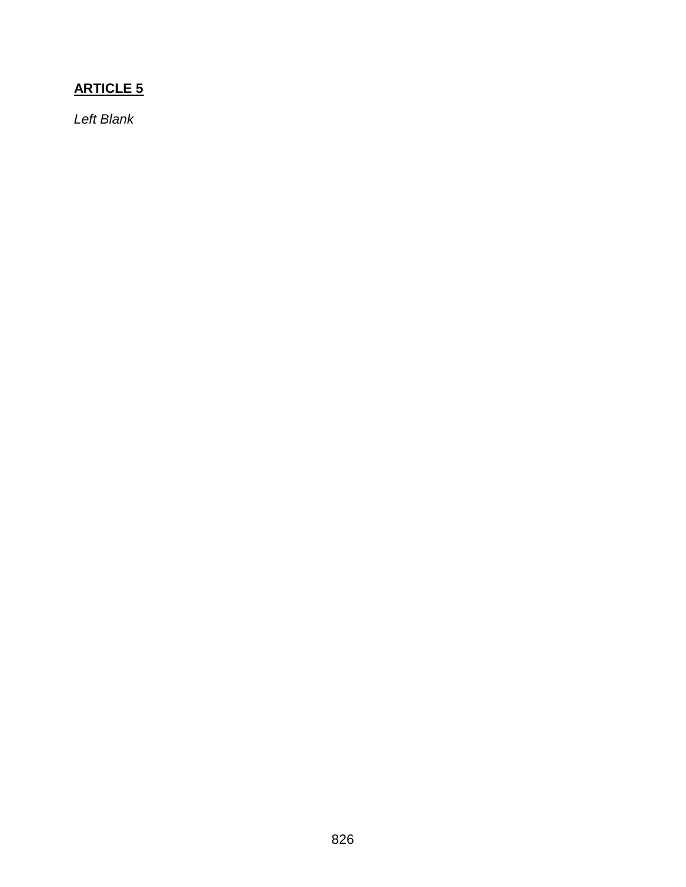## **ARTICLE 5**

*Left Blank*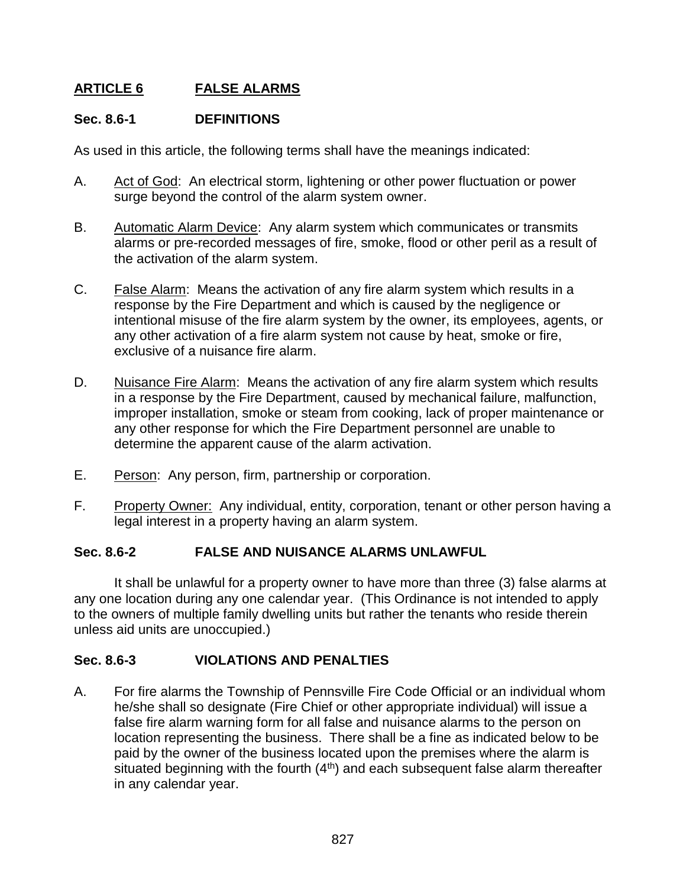### **ARTICLE 6 FALSE ALARMS**

### **Sec. 8.6-1 DEFINITIONS**

As used in this article, the following terms shall have the meanings indicated:

- A. Act of God: An electrical storm, lightening or other power fluctuation or power surge beyond the control of the alarm system owner.
- B. Automatic Alarm Device: Any alarm system which communicates or transmits alarms or pre-recorded messages of fire, smoke, flood or other peril as a result of the activation of the alarm system.
- C. False Alarm: Means the activation of any fire alarm system which results in a response by the Fire Department and which is caused by the negligence or intentional misuse of the fire alarm system by the owner, its employees, agents, or any other activation of a fire alarm system not cause by heat, smoke or fire, exclusive of a nuisance fire alarm.
- D. Nuisance Fire Alarm: Means the activation of any fire alarm system which results in a response by the Fire Department, caused by mechanical failure, malfunction, improper installation, smoke or steam from cooking, lack of proper maintenance or any other response for which the Fire Department personnel are unable to determine the apparent cause of the alarm activation.
- E. Person: Any person, firm, partnership or corporation.
- F. Property Owner: Any individual, entity, corporation, tenant or other person having a legal interest in a property having an alarm system.

### **Sec. 8.6-2 FALSE AND NUISANCE ALARMS UNLAWFUL**

It shall be unlawful for a property owner to have more than three (3) false alarms at any one location during any one calendar year. (This Ordinance is not intended to apply to the owners of multiple family dwelling units but rather the tenants who reside therein unless aid units are unoccupied.)

### **Sec. 8.6-3 VIOLATIONS AND PENALTIES**

A. For fire alarms the Township of Pennsville Fire Code Official or an individual whom he/she shall so designate (Fire Chief or other appropriate individual) will issue a false fire alarm warning form for all false and nuisance alarms to the person on location representing the business. There shall be a fine as indicated below to be paid by the owner of the business located upon the premises where the alarm is situated beginning with the fourth  $(4<sup>th</sup>)$  and each subsequent false alarm thereafter in any calendar year.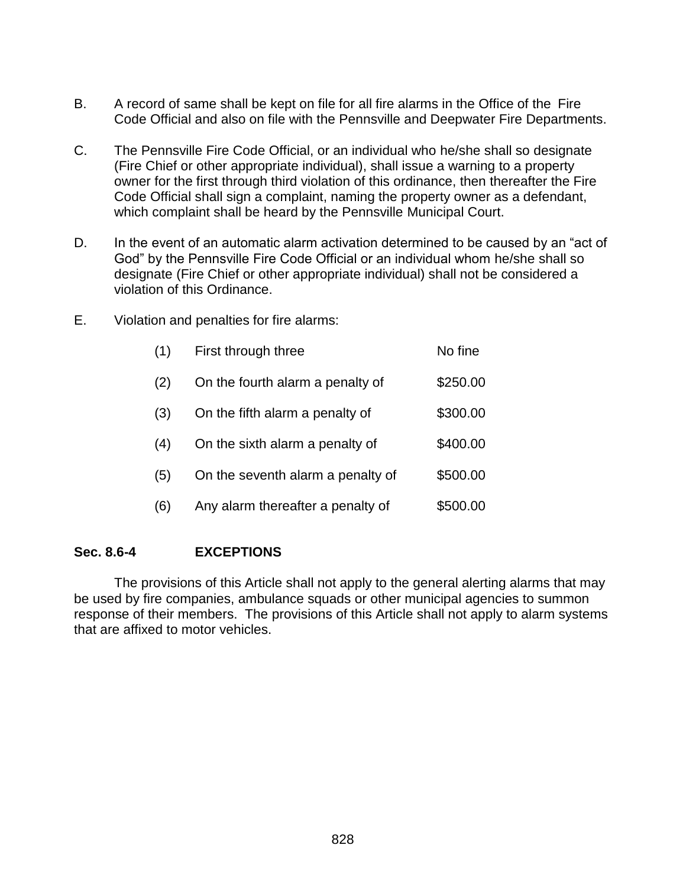- B. A record of same shall be kept on file for all fire alarms in the Office of the Fire Code Official and also on file with the Pennsville and Deepwater Fire Departments.
- C. The Pennsville Fire Code Official, or an individual who he/she shall so designate (Fire Chief or other appropriate individual), shall issue a warning to a property owner for the first through third violation of this ordinance, then thereafter the Fire Code Official shall sign a complaint, naming the property owner as a defendant, which complaint shall be heard by the Pennsville Municipal Court.
- D. In the event of an automatic alarm activation determined to be caused by an "act of God" by the Pennsville Fire Code Official or an individual whom he/she shall so designate (Fire Chief or other appropriate individual) shall not be considered a violation of this Ordinance.
- E. Violation and penalties for fire alarms:

| (1) | First through three               | No fine  |
|-----|-----------------------------------|----------|
| (2) | On the fourth alarm a penalty of  | \$250.00 |
| (3) | On the fifth alarm a penalty of   | \$300.00 |
| (4) | On the sixth alarm a penalty of   | \$400.00 |
| (5) | On the seventh alarm a penalty of | \$500.00 |
| (6) | Any alarm thereafter a penalty of | \$500.00 |

#### **Sec. 8.6-4 EXCEPTIONS**

The provisions of this Article shall not apply to the general alerting alarms that may be used by fire companies, ambulance squads or other municipal agencies to summon response of their members. The provisions of this Article shall not apply to alarm systems that are affixed to motor vehicles.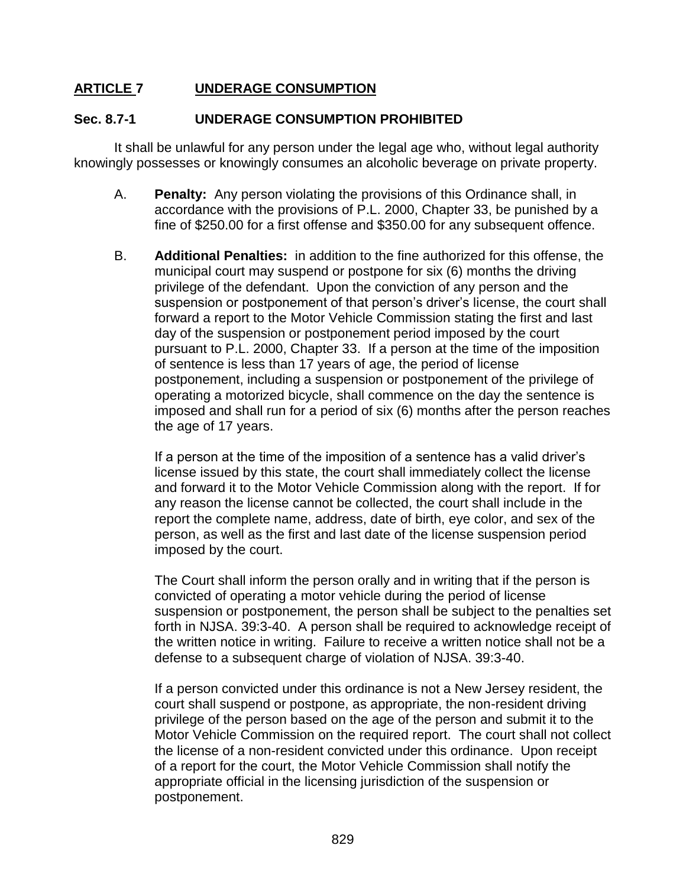### **ARTICLE 7 UNDERAGE CONSUMPTION**

#### **Sec. 8.7-1 UNDERAGE CONSUMPTION PROHIBITED**

It shall be unlawful for any person under the legal age who, without legal authority knowingly possesses or knowingly consumes an alcoholic beverage on private property.

- A. **Penalty:** Any person violating the provisions of this Ordinance shall, in accordance with the provisions of P.L. 2000, Chapter 33, be punished by a fine of \$250.00 for a first offense and \$350.00 for any subsequent offence.
- B. **Additional Penalties:** in addition to the fine authorized for this offense, the municipal court may suspend or postpone for six (6) months the driving privilege of the defendant. Upon the conviction of any person and the suspension or postponement of that person's driver's license, the court shall forward a report to the Motor Vehicle Commission stating the first and last day of the suspension or postponement period imposed by the court pursuant to P.L. 2000, Chapter 33. If a person at the time of the imposition of sentence is less than 17 years of age, the period of license postponement, including a suspension or postponement of the privilege of operating a motorized bicycle, shall commence on the day the sentence is imposed and shall run for a period of six (6) months after the person reaches the age of 17 years.

If a person at the time of the imposition of a sentence has a valid driver's license issued by this state, the court shall immediately collect the license and forward it to the Motor Vehicle Commission along with the report. If for any reason the license cannot be collected, the court shall include in the report the complete name, address, date of birth, eye color, and sex of the person, as well as the first and last date of the license suspension period imposed by the court.

The Court shall inform the person orally and in writing that if the person is convicted of operating a motor vehicle during the period of license suspension or postponement, the person shall be subject to the penalties set forth in NJSA. 39:3-40. A person shall be required to acknowledge receipt of the written notice in writing. Failure to receive a written notice shall not be a defense to a subsequent charge of violation of NJSA. 39:3-40.

If a person convicted under this ordinance is not a New Jersey resident, the court shall suspend or postpone, as appropriate, the non-resident driving privilege of the person based on the age of the person and submit it to the Motor Vehicle Commission on the required report. The court shall not collect the license of a non-resident convicted under this ordinance. Upon receipt of a report for the court, the Motor Vehicle Commission shall notify the appropriate official in the licensing jurisdiction of the suspension or postponement.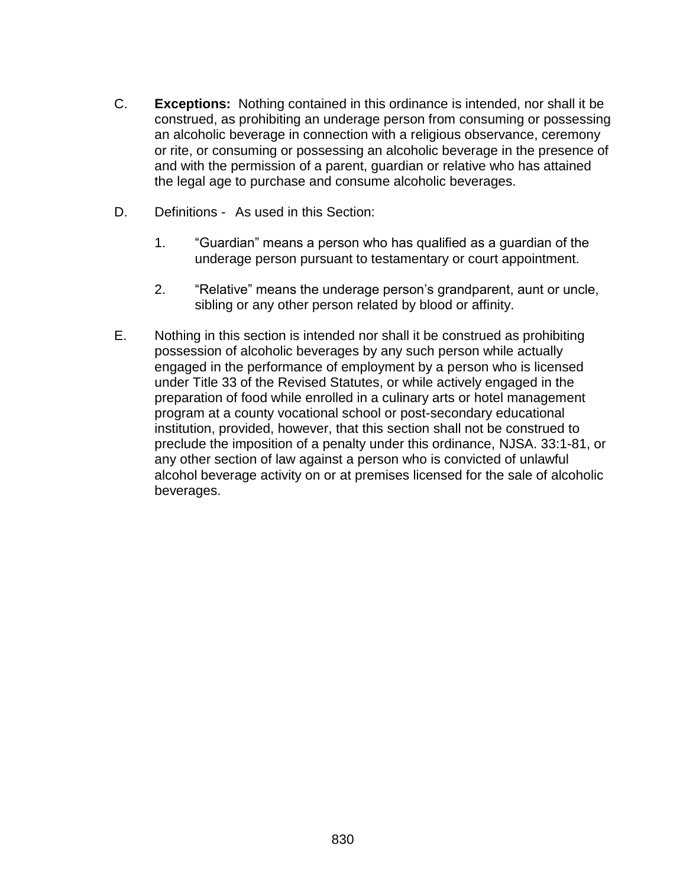- C. **Exceptions:** Nothing contained in this ordinance is intended, nor shall it be construed, as prohibiting an underage person from consuming or possessing an alcoholic beverage in connection with a religious observance, ceremony or rite, or consuming or possessing an alcoholic beverage in the presence of and with the permission of a parent, guardian or relative who has attained the legal age to purchase and consume alcoholic beverages.
- D. Definitions As used in this Section:
	- 1. "Guardian" means a person who has qualified as a guardian of the underage person pursuant to testamentary or court appointment.
	- 2. "Relative" means the underage person's grandparent, aunt or uncle, sibling or any other person related by blood or affinity.
- E. Nothing in this section is intended nor shall it be construed as prohibiting possession of alcoholic beverages by any such person while actually engaged in the performance of employment by a person who is licensed under Title 33 of the Revised Statutes, or while actively engaged in the preparation of food while enrolled in a culinary arts or hotel management program at a county vocational school or post-secondary educational institution, provided, however, that this section shall not be construed to preclude the imposition of a penalty under this ordinance, NJSA. 33:1-81, or any other section of law against a person who is convicted of unlawful alcohol beverage activity on or at premises licensed for the sale of alcoholic beverages.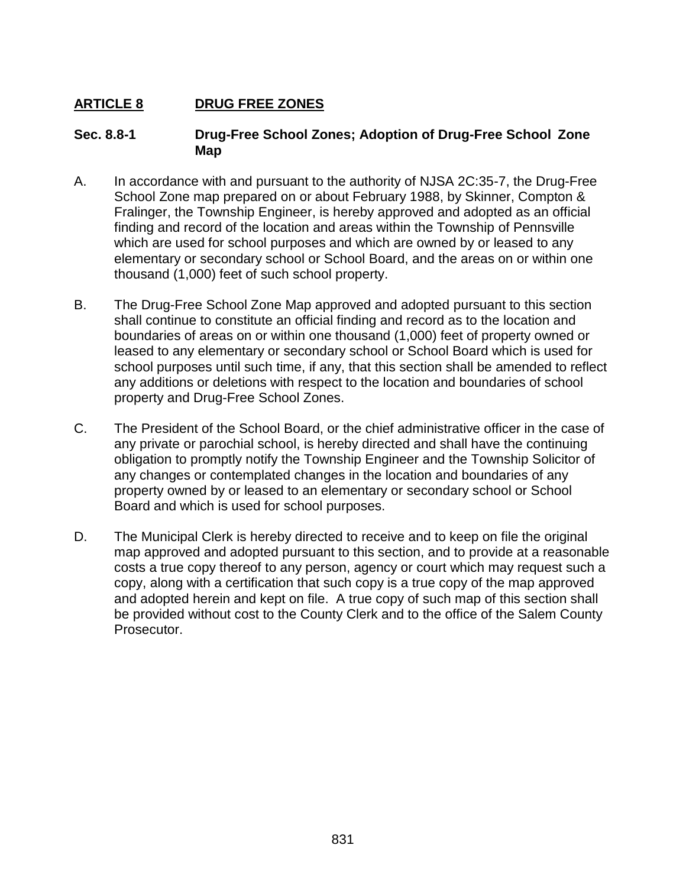## **ARTICLE 8 DRUG FREE ZONES**

#### **Sec. 8.8-1 Drug-Free School Zones; Adoption of Drug-Free School Zone Map**

- A. In accordance with and pursuant to the authority of NJSA 2C:35-7, the Drug-Free School Zone map prepared on or about February 1988, by Skinner, Compton & Fralinger, the Township Engineer, is hereby approved and adopted as an official finding and record of the location and areas within the Township of Pennsville which are used for school purposes and which are owned by or leased to any elementary or secondary school or School Board, and the areas on or within one thousand (1,000) feet of such school property.
- B. The Drug-Free School Zone Map approved and adopted pursuant to this section shall continue to constitute an official finding and record as to the location and boundaries of areas on or within one thousand (1,000) feet of property owned or leased to any elementary or secondary school or School Board which is used for school purposes until such time, if any, that this section shall be amended to reflect any additions or deletions with respect to the location and boundaries of school property and Drug-Free School Zones.
- C. The President of the School Board, or the chief administrative officer in the case of any private or parochial school, is hereby directed and shall have the continuing obligation to promptly notify the Township Engineer and the Township Solicitor of any changes or contemplated changes in the location and boundaries of any property owned by or leased to an elementary or secondary school or School Board and which is used for school purposes.
- D. The Municipal Clerk is hereby directed to receive and to keep on file the original map approved and adopted pursuant to this section, and to provide at a reasonable costs a true copy thereof to any person, agency or court which may request such a copy, along with a certification that such copy is a true copy of the map approved and adopted herein and kept on file. A true copy of such map of this section shall be provided without cost to the County Clerk and to the office of the Salem County Prosecutor.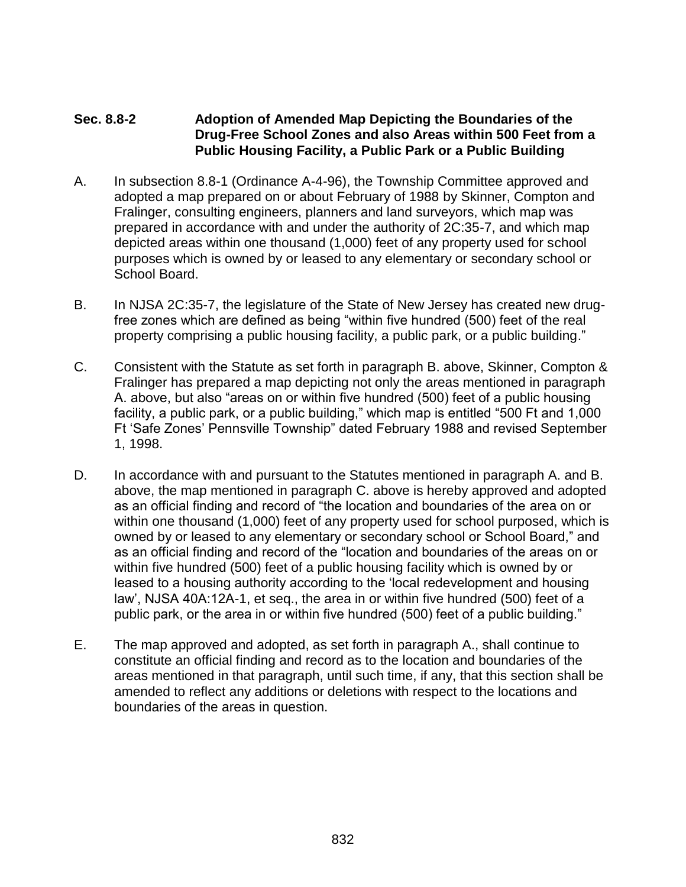### **Sec. 8.8-2 Adoption of Amended Map Depicting the Boundaries of the Drug-Free School Zones and also Areas within 500 Feet from a Public Housing Facility, a Public Park or a Public Building**

- A. In subsection 8.8-1 (Ordinance A-4-96), the Township Committee approved and adopted a map prepared on or about February of 1988 by Skinner, Compton and Fralinger, consulting engineers, planners and land surveyors, which map was prepared in accordance with and under the authority of 2C:35-7, and which map depicted areas within one thousand (1,000) feet of any property used for school purposes which is owned by or leased to any elementary or secondary school or School Board.
- B. In NJSA 2C:35-7, the legislature of the State of New Jersey has created new drugfree zones which are defined as being "within five hundred (500) feet of the real property comprising a public housing facility, a public park, or a public building."
- C. Consistent with the Statute as set forth in paragraph B. above, Skinner, Compton & Fralinger has prepared a map depicting not only the areas mentioned in paragraph A. above, but also "areas on or within five hundred (500) feet of a public housing facility, a public park, or a public building," which map is entitled "500 Ft and 1,000 Ft 'Safe Zones' Pennsville Township" dated February 1988 and revised September 1, 1998.
- D. In accordance with and pursuant to the Statutes mentioned in paragraph A. and B. above, the map mentioned in paragraph C. above is hereby approved and adopted as an official finding and record of "the location and boundaries of the area on or within one thousand (1,000) feet of any property used for school purposed, which is owned by or leased to any elementary or secondary school or School Board," and as an official finding and record of the "location and boundaries of the areas on or within five hundred (500) feet of a public housing facility which is owned by or leased to a housing authority according to the 'local redevelopment and housing law', NJSA 40A:12A-1, et seq., the area in or within five hundred (500) feet of a public park, or the area in or within five hundred (500) feet of a public building."
- E. The map approved and adopted, as set forth in paragraph A., shall continue to constitute an official finding and record as to the location and boundaries of the areas mentioned in that paragraph, until such time, if any, that this section shall be amended to reflect any additions or deletions with respect to the locations and boundaries of the areas in question.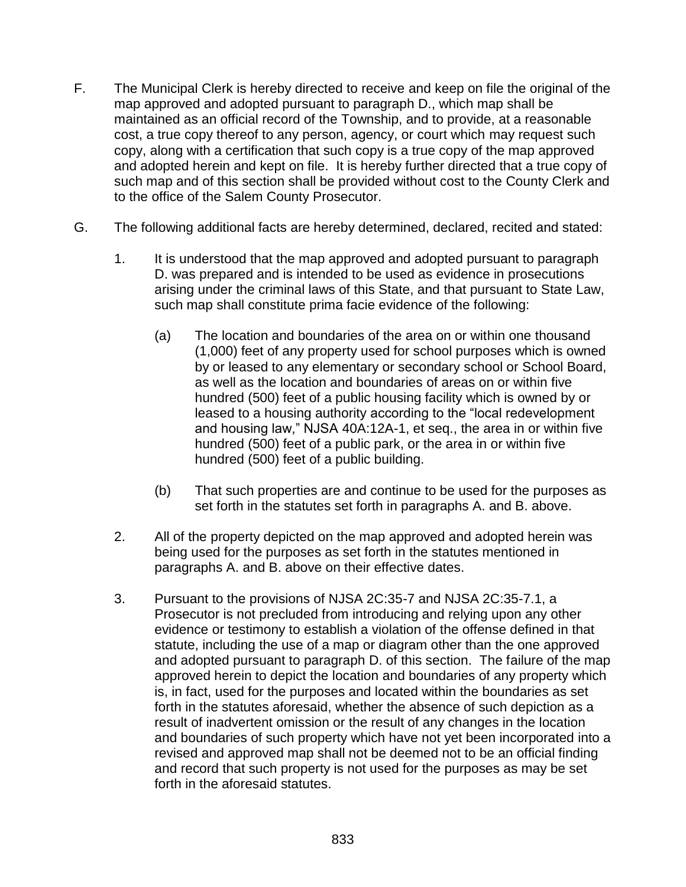- F. The Municipal Clerk is hereby directed to receive and keep on file the original of the map approved and adopted pursuant to paragraph D., which map shall be maintained as an official record of the Township, and to provide, at a reasonable cost, a true copy thereof to any person, agency, or court which may request such copy, along with a certification that such copy is a true copy of the map approved and adopted herein and kept on file. It is hereby further directed that a true copy of such map and of this section shall be provided without cost to the County Clerk and to the office of the Salem County Prosecutor.
- G. The following additional facts are hereby determined, declared, recited and stated:
	- 1. It is understood that the map approved and adopted pursuant to paragraph D. was prepared and is intended to be used as evidence in prosecutions arising under the criminal laws of this State, and that pursuant to State Law, such map shall constitute prima facie evidence of the following:
		- (a) The location and boundaries of the area on or within one thousand (1,000) feet of any property used for school purposes which is owned by or leased to any elementary or secondary school or School Board, as well as the location and boundaries of areas on or within five hundred (500) feet of a public housing facility which is owned by or leased to a housing authority according to the "local redevelopment and housing law," NJSA 40A:12A-1, et seq., the area in or within five hundred (500) feet of a public park, or the area in or within five hundred (500) feet of a public building.
		- (b) That such properties are and continue to be used for the purposes as set forth in the statutes set forth in paragraphs A. and B. above.
	- 2. All of the property depicted on the map approved and adopted herein was being used for the purposes as set forth in the statutes mentioned in paragraphs A. and B. above on their effective dates.
	- 3. Pursuant to the provisions of NJSA 2C:35-7 and NJSA 2C:35-7.1, a Prosecutor is not precluded from introducing and relying upon any other evidence or testimony to establish a violation of the offense defined in that statute, including the use of a map or diagram other than the one approved and adopted pursuant to paragraph D. of this section. The failure of the map approved herein to depict the location and boundaries of any property which is, in fact, used for the purposes and located within the boundaries as set forth in the statutes aforesaid, whether the absence of such depiction as a result of inadvertent omission or the result of any changes in the location and boundaries of such property which have not yet been incorporated into a revised and approved map shall not be deemed not to be an official finding and record that such property is not used for the purposes as may be set forth in the aforesaid statutes.